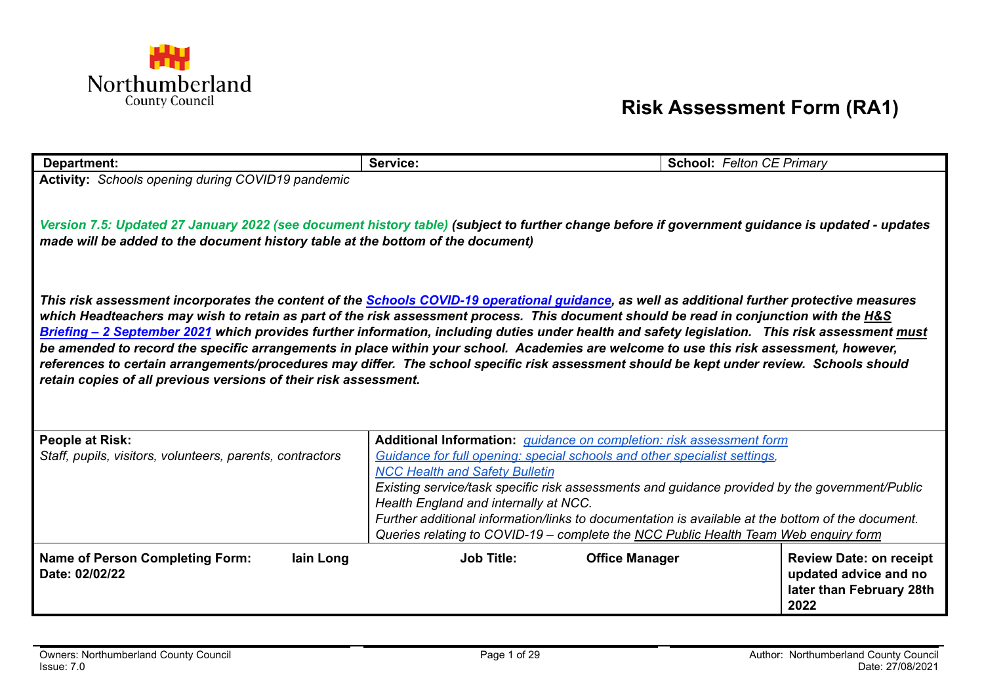

## **Risk Assessment Form (RA1)**

| <b>Department:</b>                                                                                                                                                                                                                                                                   | Service:                                                                                                                                              | <b>School: Felton CE Primary</b> |  |  |  |  |  |
|--------------------------------------------------------------------------------------------------------------------------------------------------------------------------------------------------------------------------------------------------------------------------------------|-------------------------------------------------------------------------------------------------------------------------------------------------------|----------------------------------|--|--|--|--|--|
| Activity: Schools opening during COVID19 pandemic                                                                                                                                                                                                                                    |                                                                                                                                                       |                                  |  |  |  |  |  |
|                                                                                                                                                                                                                                                                                      |                                                                                                                                                       |                                  |  |  |  |  |  |
| Version 7.5: Updated 27 January 2022 (see document history table) (subject to further change before if government guidance is updated - updates                                                                                                                                      |                                                                                                                                                       |                                  |  |  |  |  |  |
| made will be added to the document history table at the bottom of the document)                                                                                                                                                                                                      |                                                                                                                                                       |                                  |  |  |  |  |  |
|                                                                                                                                                                                                                                                                                      |                                                                                                                                                       |                                  |  |  |  |  |  |
|                                                                                                                                                                                                                                                                                      | This risk assessment incorporates the content of the <b>Schools COVID-19 operational guidance</b> , as well as additional further protective measures |                                  |  |  |  |  |  |
| which Headteachers may wish to retain as part of the risk assessment process. This document should be read in conjunction with the H&S                                                                                                                                               |                                                                                                                                                       |                                  |  |  |  |  |  |
| Briefing - 2 September 2021 which provides further information, including duties under health and safety legislation. This risk assessment must                                                                                                                                      |                                                                                                                                                       |                                  |  |  |  |  |  |
| be amended to record the specific arrangements in place within your school. Academies are welcome to use this risk assessment, however,<br>references to certain arrangements/procedures may differ. The school specific risk assessment should be kept under review. Schools should |                                                                                                                                                       |                                  |  |  |  |  |  |
| retain copies of all previous versions of their risk assessment.                                                                                                                                                                                                                     |                                                                                                                                                       |                                  |  |  |  |  |  |
|                                                                                                                                                                                                                                                                                      |                                                                                                                                                       |                                  |  |  |  |  |  |
|                                                                                                                                                                                                                                                                                      |                                                                                                                                                       |                                  |  |  |  |  |  |
| <b>People at Risk:</b>                                                                                                                                                                                                                                                               | Additional Information: <i>guidance on completion: risk assessment form</i>                                                                           |                                  |  |  |  |  |  |
| Staff, pupils, visitors, volunteers, parents, contractors                                                                                                                                                                                                                            | Guidance for full opening: special schools and other specialist settings,<br><b>NCC Health and Safety Bulletin</b>                                    |                                  |  |  |  |  |  |
|                                                                                                                                                                                                                                                                                      | Existing service/task specific risk assessments and guidance provided by the government/Public                                                        |                                  |  |  |  |  |  |
|                                                                                                                                                                                                                                                                                      | Health England and internally at NCC.                                                                                                                 |                                  |  |  |  |  |  |
|                                                                                                                                                                                                                                                                                      | Further additional information/links to documentation is available at the bottom of the document.                                                     |                                  |  |  |  |  |  |
|                                                                                                                                                                                                                                                                                      | Queries relating to COVID-19 - complete the NCC Public Health Team Web enquiry form                                                                   |                                  |  |  |  |  |  |
| <b>Name of Person Completing Form:</b><br>lain Long                                                                                                                                                                                                                                  | <b>Job Title:</b><br><b>Office Manager</b>                                                                                                            | <b>Review Date: on receipt</b>   |  |  |  |  |  |
| Date: 02/02/22                                                                                                                                                                                                                                                                       |                                                                                                                                                       | updated advice and no            |  |  |  |  |  |
|                                                                                                                                                                                                                                                                                      |                                                                                                                                                       | later than February 28th<br>2022 |  |  |  |  |  |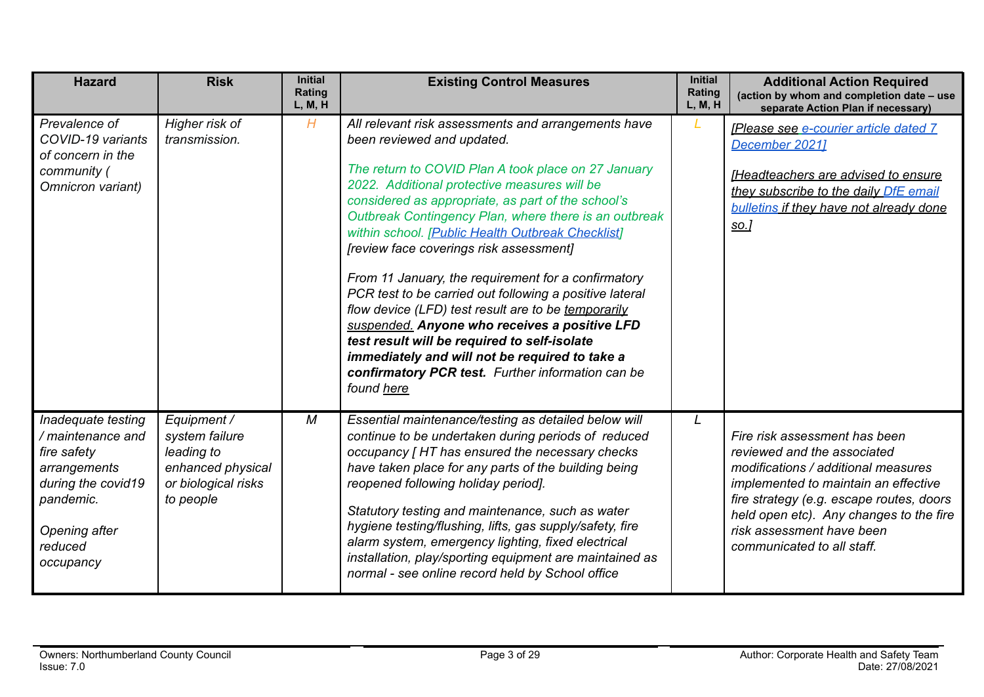| <b>Hazard</b>                                                                                                                                      | <b>Risk</b>                                                                                          | <b>Initial</b><br>Rating<br>L, M, H | <b>Existing Control Measures</b>                                                                                                                                                                                                                                                                                                                                                                                                                                                                                                                                                                                                                                                                                                                                                                       | <b>Initial</b><br>Rating<br>L, M, H | <b>Additional Action Required</b><br>(action by whom and completion date - use<br>separate Action Plan if necessary)                                                                                                                                                                          |
|----------------------------------------------------------------------------------------------------------------------------------------------------|------------------------------------------------------------------------------------------------------|-------------------------------------|--------------------------------------------------------------------------------------------------------------------------------------------------------------------------------------------------------------------------------------------------------------------------------------------------------------------------------------------------------------------------------------------------------------------------------------------------------------------------------------------------------------------------------------------------------------------------------------------------------------------------------------------------------------------------------------------------------------------------------------------------------------------------------------------------------|-------------------------------------|-----------------------------------------------------------------------------------------------------------------------------------------------------------------------------------------------------------------------------------------------------------------------------------------------|
| Prevalence of<br>COVID-19 variants<br>of concern in the<br>community (<br>Omnicron variant)                                                        | Higher risk of<br>transmission.                                                                      | H                                   | All relevant risk assessments and arrangements have<br>been reviewed and updated.<br>The return to COVID Plan A took place on 27 January<br>2022. Additional protective measures will be<br>considered as appropriate, as part of the school's<br>Outbreak Contingency Plan, where there is an outbreak<br>within school. [Public Health Outbreak Checklist]<br>[review face coverings risk assessment]<br>From 11 January, the requirement for a confirmatory<br>PCR test to be carried out following a positive lateral<br>flow device (LFD) test result are to be temporarily<br>suspended. Anyone who receives a positive LFD<br>test result will be required to self-isolate<br>immediately and will not be required to take a<br>confirmatory PCR test. Further information can be<br>found here |                                     | <b>[Please see e-courier article dated 7</b><br>December 20211<br><b>IHeadteachers are advised to ensure</b><br>they subscribe to the daily DfE email<br><b>bulletins if they have not already done</b><br>so.                                                                                |
| Inadequate testing<br>/ maintenance and<br>fire safety<br>arrangements<br>during the covid19<br>pandemic.<br>Opening after<br>reduced<br>occupancy | Equipment /<br>system failure<br>leading to<br>enhanced physical<br>or biological risks<br>to people | M                                   | Essential maintenance/testing as detailed below will<br>continue to be undertaken during periods of reduced<br>occupancy [HT has ensured the necessary checks<br>have taken place for any parts of the building being<br>reopened following holiday period].<br>Statutory testing and maintenance, such as water<br>hygiene testing/flushing, lifts, gas supply/safety, fire<br>alarm system, emergency lighting, fixed electrical<br>installation, play/sporting equipment are maintained as<br>normal - see online record held by School office                                                                                                                                                                                                                                                      | L                                   | Fire risk assessment has been<br>reviewed and the associated<br>modifications / additional measures<br>implemented to maintain an effective<br>fire strategy (e.g. escape routes, doors<br>held open etc). Any changes to the fire<br>risk assessment have been<br>communicated to all staff. |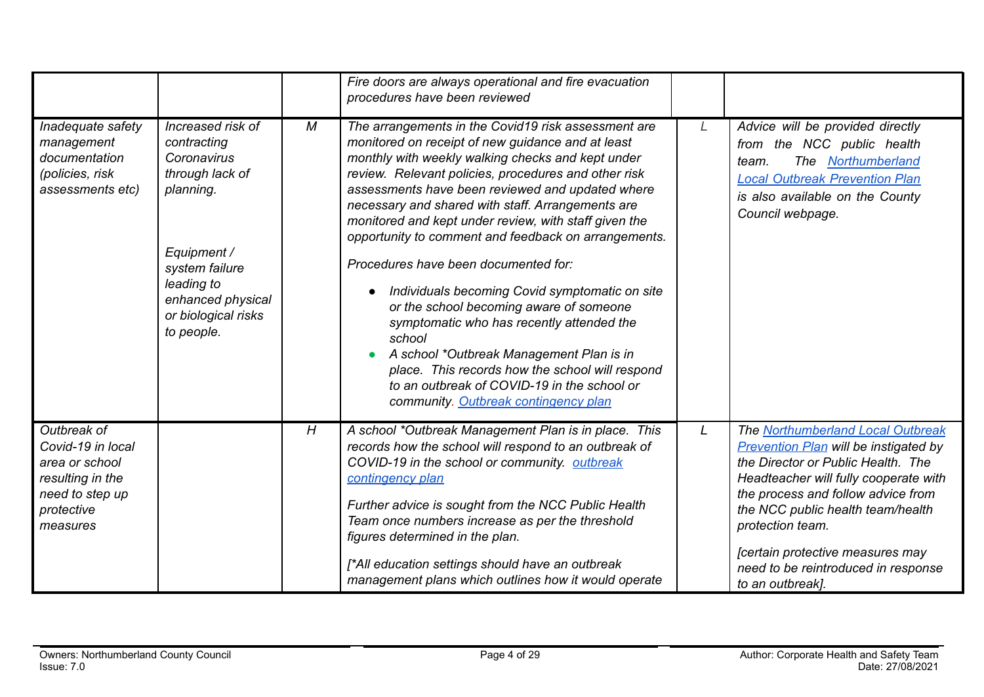|                                                                                                                     |                                                                                                                                                                                          |   | Fire doors are always operational and fire evacuation<br>procedures have been reviewed                                                                                                                                                                                                                                                                                                                                                                                                                                                                                                                                                                                                                                                                                                                                            |   |                                                                                                                                                                                                                                                                                                                                                                |
|---------------------------------------------------------------------------------------------------------------------|------------------------------------------------------------------------------------------------------------------------------------------------------------------------------------------|---|-----------------------------------------------------------------------------------------------------------------------------------------------------------------------------------------------------------------------------------------------------------------------------------------------------------------------------------------------------------------------------------------------------------------------------------------------------------------------------------------------------------------------------------------------------------------------------------------------------------------------------------------------------------------------------------------------------------------------------------------------------------------------------------------------------------------------------------|---|----------------------------------------------------------------------------------------------------------------------------------------------------------------------------------------------------------------------------------------------------------------------------------------------------------------------------------------------------------------|
| Inadequate safety<br>management<br>documentation<br>(policies, risk<br>assessments etc)                             | Increased risk of<br>contracting<br>Coronavirus<br>through lack of<br>planning.<br>Equipment /<br>system failure<br>leading to<br>enhanced physical<br>or biological risks<br>to people. | М | The arrangements in the Covid19 risk assessment are<br>monitored on receipt of new guidance and at least<br>monthly with weekly walking checks and kept under<br>review. Relevant policies, procedures and other risk<br>assessments have been reviewed and updated where<br>necessary and shared with staff. Arrangements are<br>monitored and kept under review, with staff given the<br>opportunity to comment and feedback on arrangements.<br>Procedures have been documented for:<br>Individuals becoming Covid symptomatic on site<br>or the school becoming aware of someone<br>symptomatic who has recently attended the<br>school<br>A school *Outbreak Management Plan is in<br>place. This records how the school will respond<br>to an outbreak of COVID-19 in the school or<br>community. Outbreak contingency plan | L | Advice will be provided directly<br>from the NCC public health<br>The Northumberland<br>team.<br><b>Local Outbreak Prevention Plan</b><br>is also available on the County<br>Council webpage.                                                                                                                                                                  |
| Outbreak of<br>Covid-19 in local<br>area or school<br>resulting in the<br>need to step up<br>protective<br>measures |                                                                                                                                                                                          | H | A school *Outbreak Management Plan is in place. This<br>records how the school will respond to an outbreak of<br>COVID-19 in the school or community. outbreak<br>contingency plan<br>Further advice is sought from the NCC Public Health<br>Team once numbers increase as per the threshold<br>figures determined in the plan.<br>[*All education settings should have an outbreak<br>management plans which outlines how it would operate                                                                                                                                                                                                                                                                                                                                                                                       | L | The Northumberland Local Outbreak<br><b>Prevention Plan will be instigated by</b><br>the Director or Public Health. The<br>Headteacher will fully cooperate with<br>the process and follow advice from<br>the NCC public health team/health<br>protection team.<br>[certain protective measures may<br>need to be reintroduced in response<br>to an outbreak]. |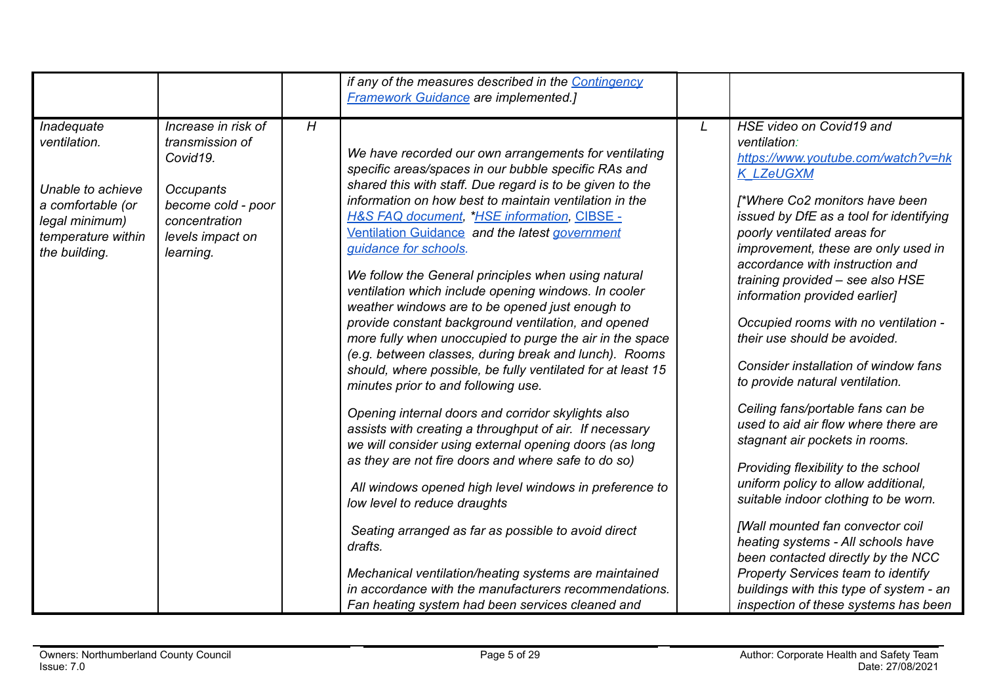|                                                                                                                               |                                                                                                                                                |   | if any of the measures described in the Contingency<br><b>Framework Guidance are implemented.]</b>                                                                                                                                                                                                                                                                                                                                                                                                                                                                                                                                                                                                                                                                                                                                                                                                                                                                                                                                                                                                                                                                                                                                                                                                                                                                                               |   |                                                                                                                                                                                                                                                                                                                                                                                                                                                                                                                                                                                                                                                                                                                                                                                                                                                                                                                                                                                                       |
|-------------------------------------------------------------------------------------------------------------------------------|------------------------------------------------------------------------------------------------------------------------------------------------|---|--------------------------------------------------------------------------------------------------------------------------------------------------------------------------------------------------------------------------------------------------------------------------------------------------------------------------------------------------------------------------------------------------------------------------------------------------------------------------------------------------------------------------------------------------------------------------------------------------------------------------------------------------------------------------------------------------------------------------------------------------------------------------------------------------------------------------------------------------------------------------------------------------------------------------------------------------------------------------------------------------------------------------------------------------------------------------------------------------------------------------------------------------------------------------------------------------------------------------------------------------------------------------------------------------------------------------------------------------------------------------------------------------|---|-------------------------------------------------------------------------------------------------------------------------------------------------------------------------------------------------------------------------------------------------------------------------------------------------------------------------------------------------------------------------------------------------------------------------------------------------------------------------------------------------------------------------------------------------------------------------------------------------------------------------------------------------------------------------------------------------------------------------------------------------------------------------------------------------------------------------------------------------------------------------------------------------------------------------------------------------------------------------------------------------------|
| Inadequate<br>ventilation.<br>Unable to achieve<br>a comfortable (or<br>legal minimum)<br>temperature within<br>the building. | Increase in risk of<br>transmission of<br>Covid19.<br><b>Occupants</b><br>become cold - poor<br>concentration<br>levels impact on<br>learning. | H | We have recorded our own arrangements for ventilating<br>specific areas/spaces in our bubble specific RAs and<br>shared this with staff. Due regard is to be given to the<br>information on how best to maintain ventilation in the<br><b>H&amp;S FAQ document, *HSE information, CIBSE -</b><br>Ventilation Guidance and the latest government<br>guidance for schools.<br>We follow the General principles when using natural<br>ventilation which include opening windows. In cooler<br>weather windows are to be opened just enough to<br>provide constant background ventilation, and opened<br>more fully when unoccupied to purge the air in the space<br>(e.g. between classes, during break and lunch). Rooms<br>should, where possible, be fully ventilated for at least 15<br>minutes prior to and following use.<br>Opening internal doors and corridor skylights also<br>assists with creating a throughput of air. If necessary<br>we will consider using external opening doors (as long<br>as they are not fire doors and where safe to do so)<br>All windows opened high level windows in preference to<br>low level to reduce draughts<br>Seating arranged as far as possible to avoid direct<br>drafts.<br>Mechanical ventilation/heating systems are maintained<br>in accordance with the manufacturers recommendations.<br>Fan heating system had been services cleaned and | L | HSE video on Covid19 and<br>ventilation:<br>https://www.youtube.com/watch?v=hk<br><b>K LZeUGXM</b><br>[*Where Co2 monitors have been<br>issued by DfE as a tool for identifying<br>poorly ventilated areas for<br>improvement, these are only used in<br>accordance with instruction and<br>training provided - see also HSE<br>information provided earlier]<br>Occupied rooms with no ventilation -<br>their use should be avoided.<br>Consider installation of window fans<br>to provide natural ventilation.<br>Ceiling fans/portable fans can be<br>used to aid air flow where there are<br>stagnant air pockets in rooms.<br>Providing flexibility to the school<br>uniform policy to allow additional,<br>suitable indoor clothing to be worn.<br>[Wall mounted fan convector coil<br>heating systems - All schools have<br>been contacted directly by the NCC<br><b>Property Services team to identify</b><br>buildings with this type of system - an<br>inspection of these systems has been |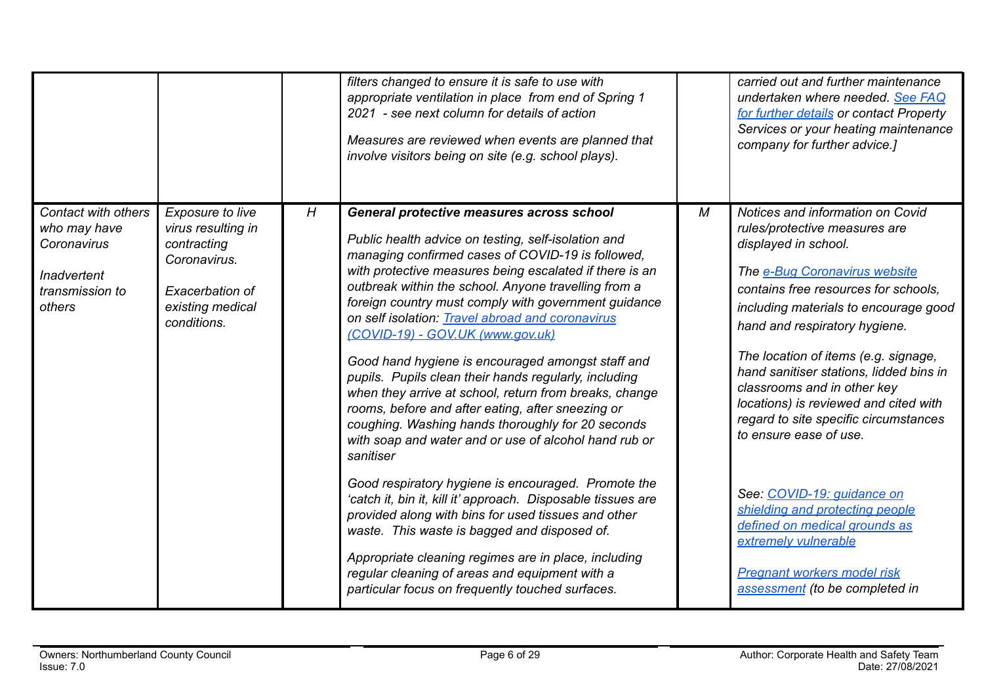|                                                                                                |                                                                                                                             |   | filters changed to ensure it is safe to use with<br>appropriate ventilation in place from end of Spring 1<br>2021 - see next column for details of action<br>Measures are reviewed when events are planned that<br>involve visitors being on site (e.g. school plays).                                                                                                                                                                                                                                                                                                                                                                                                                                                                                                                                                                                                                                                                                                                                                                                                                                                                                                              |   | carried out and further maintenance<br>undertaken where needed. See FAQ<br>for further details or contact Property<br>Services or your heating maintenance<br>company for further advice.]                                                                                                                                                                                                                                                                                                                                                                                                                                                                                   |
|------------------------------------------------------------------------------------------------|-----------------------------------------------------------------------------------------------------------------------------|---|-------------------------------------------------------------------------------------------------------------------------------------------------------------------------------------------------------------------------------------------------------------------------------------------------------------------------------------------------------------------------------------------------------------------------------------------------------------------------------------------------------------------------------------------------------------------------------------------------------------------------------------------------------------------------------------------------------------------------------------------------------------------------------------------------------------------------------------------------------------------------------------------------------------------------------------------------------------------------------------------------------------------------------------------------------------------------------------------------------------------------------------------------------------------------------------|---|------------------------------------------------------------------------------------------------------------------------------------------------------------------------------------------------------------------------------------------------------------------------------------------------------------------------------------------------------------------------------------------------------------------------------------------------------------------------------------------------------------------------------------------------------------------------------------------------------------------------------------------------------------------------------|
| Contact with others<br>who may have<br>Coronavirus<br>Inadvertent<br>transmission to<br>others | Exposure to live<br>virus resulting in<br>contracting<br>Coronavirus.<br>Exacerbation of<br>existing medical<br>conditions. | H | <b>General protective measures across school</b><br>Public health advice on testing, self-isolation and<br>managing confirmed cases of COVID-19 is followed,<br>with protective measures being escalated if there is an<br>outbreak within the school. Anyone travelling from a<br>foreign country must comply with government guidance<br>on self isolation: Travel abroad and coronavirus<br>(COVID-19) - GOV.UK (www.gov.uk)<br>Good hand hygiene is encouraged amongst staff and<br>pupils. Pupils clean their hands regularly, including<br>when they arrive at school, return from breaks, change<br>rooms, before and after eating, after sneezing or<br>coughing. Washing hands thoroughly for 20 seconds<br>with soap and water and or use of alcohol hand rub or<br>sanitiser<br>Good respiratory hygiene is encouraged. Promote the<br>'catch it, bin it, kill it' approach. Disposable tissues are<br>provided along with bins for used tissues and other<br>waste. This waste is bagged and disposed of.<br>Appropriate cleaning regimes are in place, including<br>regular cleaning of areas and equipment with a<br>particular focus on frequently touched surfaces. | M | Notices and information on Covid<br>rules/protective measures are<br>displayed in school.<br>The e-Bug Coronavirus website<br>contains free resources for schools,<br>including materials to encourage good<br>hand and respiratory hygiene.<br>The location of items (e.g. signage,<br>hand sanitiser stations, lidded bins in<br>classrooms and in other key<br>locations) is reviewed and cited with<br>regard to site specific circumstances<br>to ensure ease of use.<br>See: COVID-19: guidance on<br>shielding and protecting people<br>defined on medical grounds as<br>extremely vulnerable<br><b>Pregnant workers model risk</b><br>assessment (to be completed in |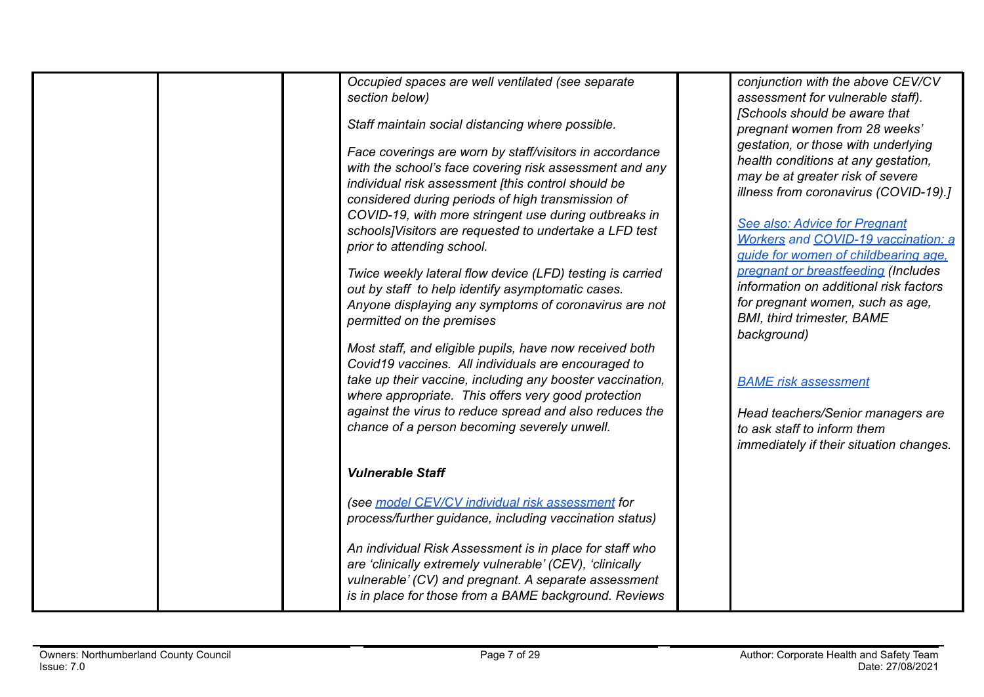| Occupied spaces are well ventilated (see separate<br>section below)<br>Staff maintain social distancing where possible.<br>Face coverings are worn by staff/visitors in accordance<br>with the school's face covering risk assessment and any<br>individual risk assessment [this control should be<br>considered during periods of high transmission of<br>COVID-19, with more stringent use during outbreaks in<br>schools] Visitors are requested to undertake a LFD test<br>prior to attending school.<br>Twice weekly lateral flow device (LFD) testing is carried<br>out by staff to help identify asymptomatic cases.<br>Anyone displaying any symptoms of coronavirus are not<br>permitted on the premises<br>Most staff, and eligible pupils, have now received both<br>Covid19 vaccines. All individuals are encouraged to<br>take up their vaccine, including any booster vaccination,<br>where appropriate. This offers very good protection<br>against the virus to reduce spread and also reduces the<br>chance of a person becoming severely unwell. | conjunction with the above CEV/CV<br>assessment for vulnerable staff).<br>[Schools should be aware that<br>pregnant women from 28 weeks'<br>gestation, or those with underlying<br>health conditions at any gestation,<br>may be at greater risk of severe<br>illness from coronavirus (COVID-19).]<br>See also: Advice for Pregnant<br><b>Workers and COVID-19 vaccination: a</b><br>guide for women of childbearing age.<br>pregnant or breastfeeding (Includes<br>information on additional risk factors<br>for pregnant women, such as age,<br><b>BMI, third trimester, BAME</b><br>background)<br><b>BAME</b> risk assessment<br>Head teachers/Senior managers are<br>to ask staff to inform them |
|---------------------------------------------------------------------------------------------------------------------------------------------------------------------------------------------------------------------------------------------------------------------------------------------------------------------------------------------------------------------------------------------------------------------------------------------------------------------------------------------------------------------------------------------------------------------------------------------------------------------------------------------------------------------------------------------------------------------------------------------------------------------------------------------------------------------------------------------------------------------------------------------------------------------------------------------------------------------------------------------------------------------------------------------------------------------|--------------------------------------------------------------------------------------------------------------------------------------------------------------------------------------------------------------------------------------------------------------------------------------------------------------------------------------------------------------------------------------------------------------------------------------------------------------------------------------------------------------------------------------------------------------------------------------------------------------------------------------------------------------------------------------------------------|
|                                                                                                                                                                                                                                                                                                                                                                                                                                                                                                                                                                                                                                                                                                                                                                                                                                                                                                                                                                                                                                                                     | immediately if their situation changes.                                                                                                                                                                                                                                                                                                                                                                                                                                                                                                                                                                                                                                                                |
| <b>Vulnerable Staff</b>                                                                                                                                                                                                                                                                                                                                                                                                                                                                                                                                                                                                                                                                                                                                                                                                                                                                                                                                                                                                                                             |                                                                                                                                                                                                                                                                                                                                                                                                                                                                                                                                                                                                                                                                                                        |
| (see model CEV/CV individual risk assessment for<br>process/further guidance, including vaccination status)                                                                                                                                                                                                                                                                                                                                                                                                                                                                                                                                                                                                                                                                                                                                                                                                                                                                                                                                                         |                                                                                                                                                                                                                                                                                                                                                                                                                                                                                                                                                                                                                                                                                                        |
| An individual Risk Assessment is in place for staff who<br>are 'clinically extremely vulnerable' (CEV), 'clinically<br>vulnerable' (CV) and pregnant. A separate assessment<br>is in place for those from a BAME background. Reviews                                                                                                                                                                                                                                                                                                                                                                                                                                                                                                                                                                                                                                                                                                                                                                                                                                |                                                                                                                                                                                                                                                                                                                                                                                                                                                                                                                                                                                                                                                                                                        |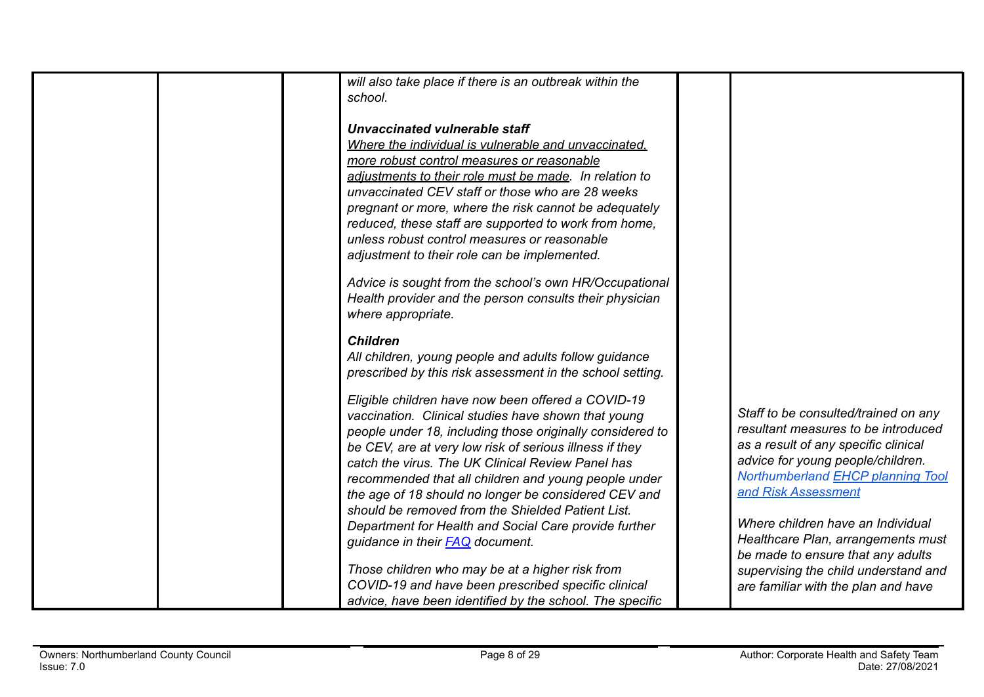| will also take place if there is an outbreak within the   |                                      |
|-----------------------------------------------------------|--------------------------------------|
| school.                                                   |                                      |
|                                                           |                                      |
| Unvaccinated vulnerable staff                             |                                      |
| Where the individual is vulnerable and unvaccinated.      |                                      |
| more robust control measures or reasonable                |                                      |
| adjustments to their role must be made. In relation to    |                                      |
| unvaccinated CEV staff or those who are 28 weeks          |                                      |
| pregnant or more, where the risk cannot be adequately     |                                      |
| reduced, these staff are supported to work from home,     |                                      |
| unless robust control measures or reasonable              |                                      |
| adjustment to their role can be implemented.              |                                      |
|                                                           |                                      |
| Advice is sought from the school's own HR/Occupational    |                                      |
| Health provider and the person consults their physician   |                                      |
| where appropriate.                                        |                                      |
|                                                           |                                      |
| <b>Children</b>                                           |                                      |
| All children, young people and adults follow guidance     |                                      |
| prescribed by this risk assessment in the school setting. |                                      |
|                                                           |                                      |
| Eligible children have now been offered a COVID-19        |                                      |
| vaccination. Clinical studies have shown that young       | Staff to be consulted/trained on any |
| people under 18, including those originally considered to | resultant measures to be introduced  |
| be CEV, are at very low risk of serious illness if they   | as a result of any specific clinical |
| catch the virus. The UK Clinical Review Panel has         | advice for young people/children.    |
| recommended that all children and young people under      | Northumberland EHCP planning Tool    |
| the age of 18 should no longer be considered CEV and      | and Risk Assessment                  |
| should be removed from the Shielded Patient List.         |                                      |
| Department for Health and Social Care provide further     | Where children have an Individual    |
| guidance in their <b>FAQ</b> document.                    | Healthcare Plan, arrangements must   |
|                                                           | be made to ensure that any adults    |
| Those children who may be at a higher risk from           | supervising the child understand and |
| COVID-19 and have been prescribed specific clinical       |                                      |
|                                                           | are familiar with the plan and have  |
| advice, have been identified by the school. The specific  |                                      |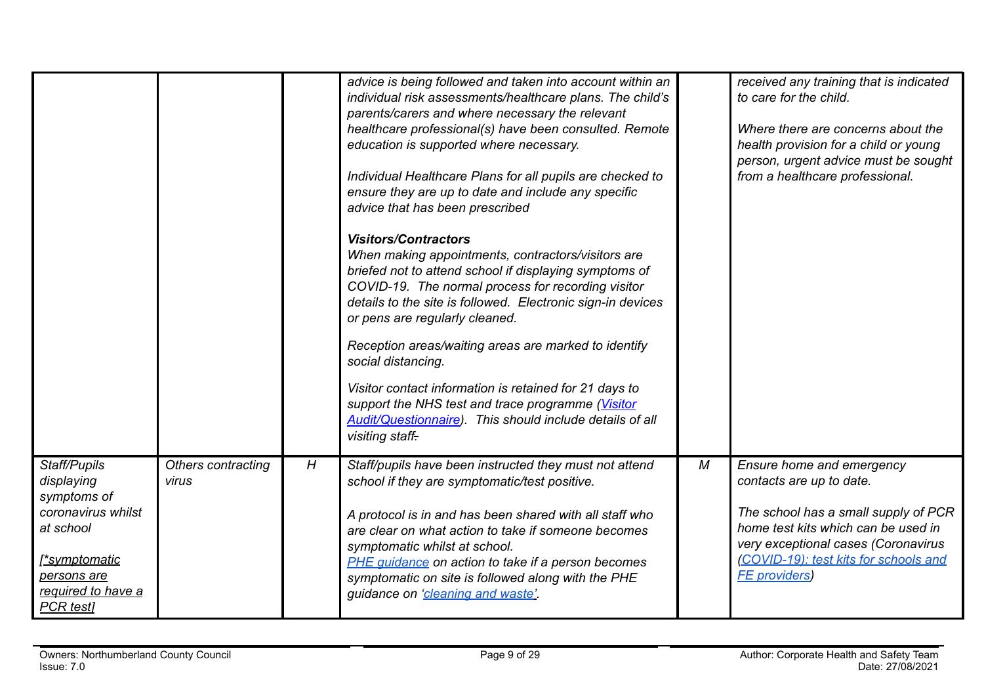|                                                                                                                                                        |                             |   | advice is being followed and taken into account within an<br>individual risk assessments/healthcare plans. The child's<br>parents/carers and where necessary the relevant<br>healthcare professional(s) have been consulted. Remote<br>education is supported where necessary.<br>Individual Healthcare Plans for all pupils are checked to<br>ensure they are up to date and include any specific<br>advice that has been prescribed<br><b>Visitors/Contractors</b><br>When making appointments, contractors/visitors are<br>briefed not to attend school if displaying symptoms of<br>COVID-19. The normal process for recording visitor<br>details to the site is followed. Electronic sign-in devices<br>or pens are regularly cleaned.<br>Reception areas/waiting areas are marked to identify<br>social distancing.<br>Visitor contact information is retained for 21 days to<br>support the NHS test and trace programme (Visitor<br>Audit/Questionnaire). This should include details of all<br>visiting staff- |   | received any training that is indicated<br>to care for the child.<br>Where there are concerns about the<br>health provision for a child or young<br>person, urgent advice must be sought<br>from a healthcare professional.                  |
|--------------------------------------------------------------------------------------------------------------------------------------------------------|-----------------------------|---|-------------------------------------------------------------------------------------------------------------------------------------------------------------------------------------------------------------------------------------------------------------------------------------------------------------------------------------------------------------------------------------------------------------------------------------------------------------------------------------------------------------------------------------------------------------------------------------------------------------------------------------------------------------------------------------------------------------------------------------------------------------------------------------------------------------------------------------------------------------------------------------------------------------------------------------------------------------------------------------------------------------------------|---|----------------------------------------------------------------------------------------------------------------------------------------------------------------------------------------------------------------------------------------------|
| Staff/Pupils<br>displaying<br>symptoms of<br>coronavirus whilst<br>at school<br><u> *symptomatic</u><br>persons are<br>required to have a<br>PCR test] | Others contracting<br>virus | H | Staff/pupils have been instructed they must not attend<br>school if they are symptomatic/test positive.<br>A protocol is in and has been shared with all staff who<br>are clear on what action to take if someone becomes<br>symptomatic whilst at school.<br>PHE guidance on action to take if a person becomes<br>symptomatic on site is followed along with the PHE<br>guidance on 'cleaning and waste'                                                                                                                                                                                                                                                                                                                                                                                                                                                                                                                                                                                                              | М | Ensure home and emergency<br>contacts are up to date.<br>The school has a small supply of PCR<br>home test kits which can be used in<br>very exceptional cases (Coronavirus<br>(COVID-19): test kits for schools and<br><b>FE</b> providers) |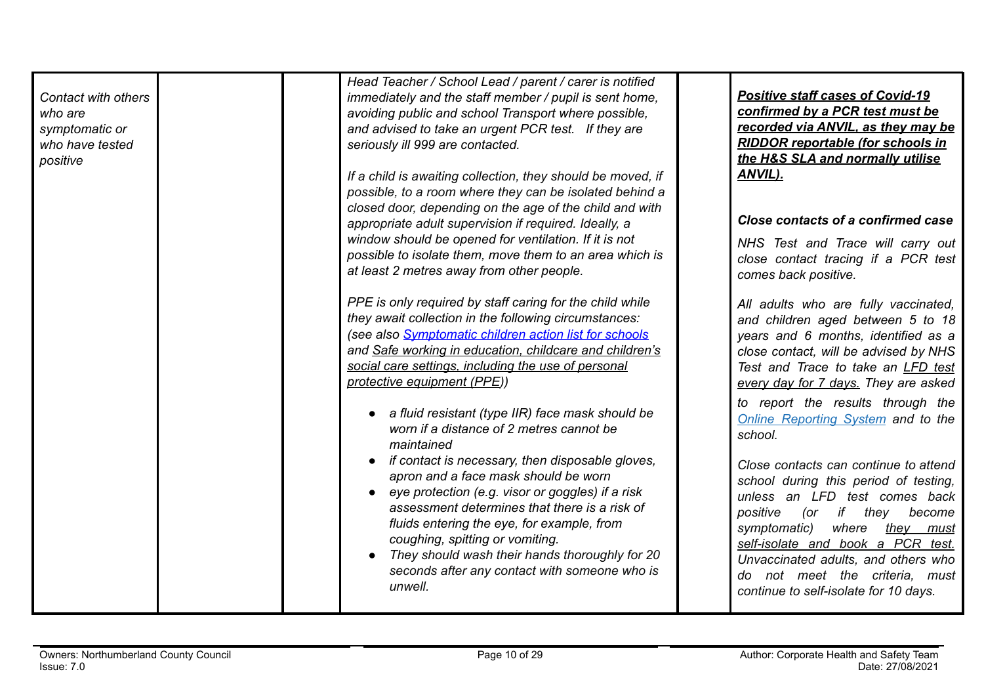| Head Teacher / School Lead / parent / carer is notified<br>immediately and the staff member / pupil is sent home,<br>avoiding public and school Transport where possible,<br>and advised to take an urgent PCR test. If they are<br>seriously ill 999 are contacted.<br>If a child is awaiting collection, they should be moved, if<br>possible, to a room where they can be isolated behind a | <b>Positive staff cases of Covid-19</b><br>confirmed by a PCR test must be<br>recorded via ANVIL, as they may be<br><b>RIDDOR reportable (for schools in</b><br>the H&S SLA and normally utilise<br>ANVIL).                                                                                                                                          |
|------------------------------------------------------------------------------------------------------------------------------------------------------------------------------------------------------------------------------------------------------------------------------------------------------------------------------------------------------------------------------------------------|------------------------------------------------------------------------------------------------------------------------------------------------------------------------------------------------------------------------------------------------------------------------------------------------------------------------------------------------------|
|                                                                                                                                                                                                                                                                                                                                                                                                | Close contacts of a confirmed case                                                                                                                                                                                                                                                                                                                   |
| window should be opened for ventilation. If it is not<br>possible to isolate them, move them to an area which is<br>at least 2 metres away from other people.                                                                                                                                                                                                                                  | NHS Test and Trace will carry out<br>close contact tracing if a PCR test<br>comes back positive.                                                                                                                                                                                                                                                     |
| PPE is only required by staff caring for the child while<br>they await collection in the following circumstances:<br>(see also Symptomatic children action list for schools<br>and Safe working in education, childcare and children's<br>social care settings, including the use of personal<br>protective equipment (PPE))                                                                   | All adults who are fully vaccinated,<br>and children aged between 5 to 18<br>years and 6 months, identified as a<br>close contact, will be advised by NHS<br>Test and Trace to take an LFD test<br>every day for 7 days. They are asked                                                                                                              |
| a fluid resistant (type IIR) face mask should be<br>worn if a distance of 2 metres cannot be<br>maintained                                                                                                                                                                                                                                                                                     | to report the results through the<br><b>Online Reporting System and to the</b><br>school.                                                                                                                                                                                                                                                            |
| if contact is necessary, then disposable gloves,<br>apron and a face mask should be worn<br>eye protection (e.g. visor or goggles) if a risk<br>assessment determines that there is a risk of<br>fluids entering the eye, for example, from<br>coughing, spitting or vomiting.<br>They should wash their hands thoroughly for 20<br>seconds after any contact with someone who is<br>unwell.   | Close contacts can continue to attend<br>school during this period of testing,<br>unless an LFD test comes back<br>if they<br>positive<br>become<br>(or<br>symptomatic)<br>where<br>they must<br>self-isolate and book a PCR test.<br>Unvaccinated adults, and others who<br>do not meet the criteria, must<br>continue to self-isolate for 10 days. |
|                                                                                                                                                                                                                                                                                                                                                                                                | closed door, depending on the age of the child and with<br>appropriate adult supervision if required. Ideally, a                                                                                                                                                                                                                                     |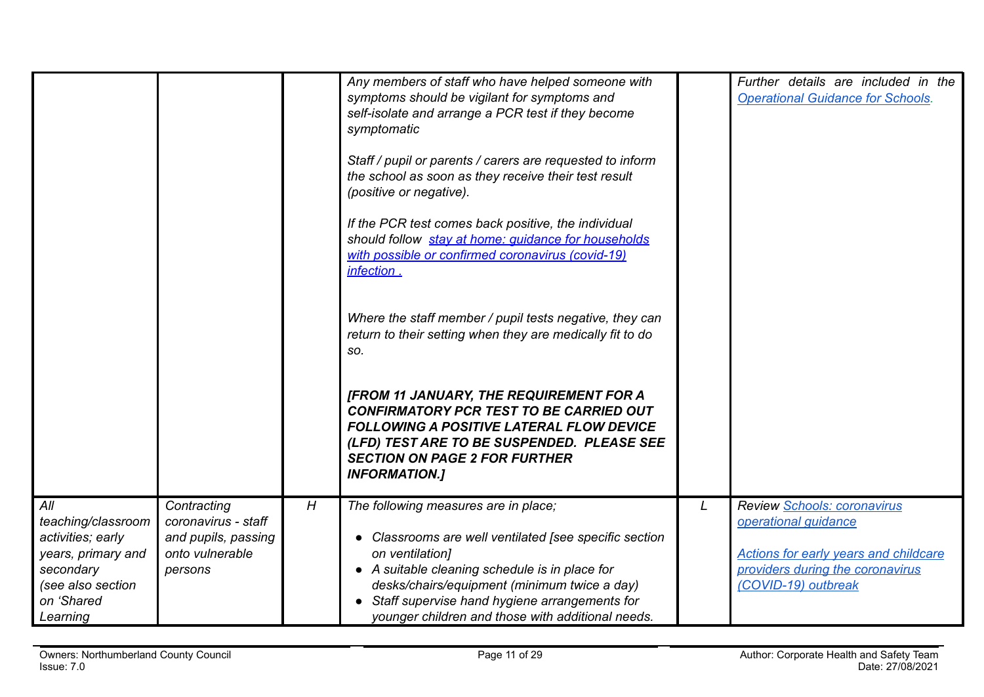|                                                                                                                                  |                                                                                         |   | Any members of staff who have helped someone with<br>symptoms should be vigilant for symptoms and<br>self-isolate and arrange a PCR test if they become<br>symptomatic<br>Staff / pupil or parents / carers are requested to inform<br>the school as soon as they receive their test result<br>(positive or negative).<br>If the PCR test comes back positive, the individual<br>should follow stay at home: quidance for households<br>with possible or confirmed coronavirus (covid-19)<br>infection.<br>Where the staff member / pupil tests negative, they can<br>return to their setting when they are medically fit to do<br>SO.<br><b>[FROM 11 JANUARY, THE REQUIREMENT FOR A</b><br><b>CONFIRMATORY PCR TEST TO BE CARRIED OUT</b><br><b>FOLLOWING A POSITIVE LATERAL FLOW DEVICE</b><br>(LFD) TEST ARE TO BE SUSPENDED. PLEASE SEE<br><b>SECTION ON PAGE 2 FOR FURTHER</b><br><b>INFORMATION.]</b> |   | Further details are included in the<br><b>Operational Guidance for Schools.</b>                                                                         |
|----------------------------------------------------------------------------------------------------------------------------------|-----------------------------------------------------------------------------------------|---|-------------------------------------------------------------------------------------------------------------------------------------------------------------------------------------------------------------------------------------------------------------------------------------------------------------------------------------------------------------------------------------------------------------------------------------------------------------------------------------------------------------------------------------------------------------------------------------------------------------------------------------------------------------------------------------------------------------------------------------------------------------------------------------------------------------------------------------------------------------------------------------------------------------|---|---------------------------------------------------------------------------------------------------------------------------------------------------------|
| All<br>teaching/classroom<br>activities; early<br>years, primary and<br>secondary<br>(see also section<br>on 'Shared<br>Learning | Contracting<br>coronavirus - staff<br>and pupils, passing<br>onto vulnerable<br>persons | H | The following measures are in place;<br>Classrooms are well ventilated [see specific section<br>on ventilation]<br>• A suitable cleaning schedule is in place for<br>desks/chairs/equipment (minimum twice a day)<br>Staff supervise hand hygiene arrangements for<br>younger children and those with additional needs.                                                                                                                                                                                                                                                                                                                                                                                                                                                                                                                                                                                     | L | Review Schools: coronavirus<br>operational guidance<br>Actions for early years and childcare<br>providers during the coronavirus<br>(COVID-19) outbreak |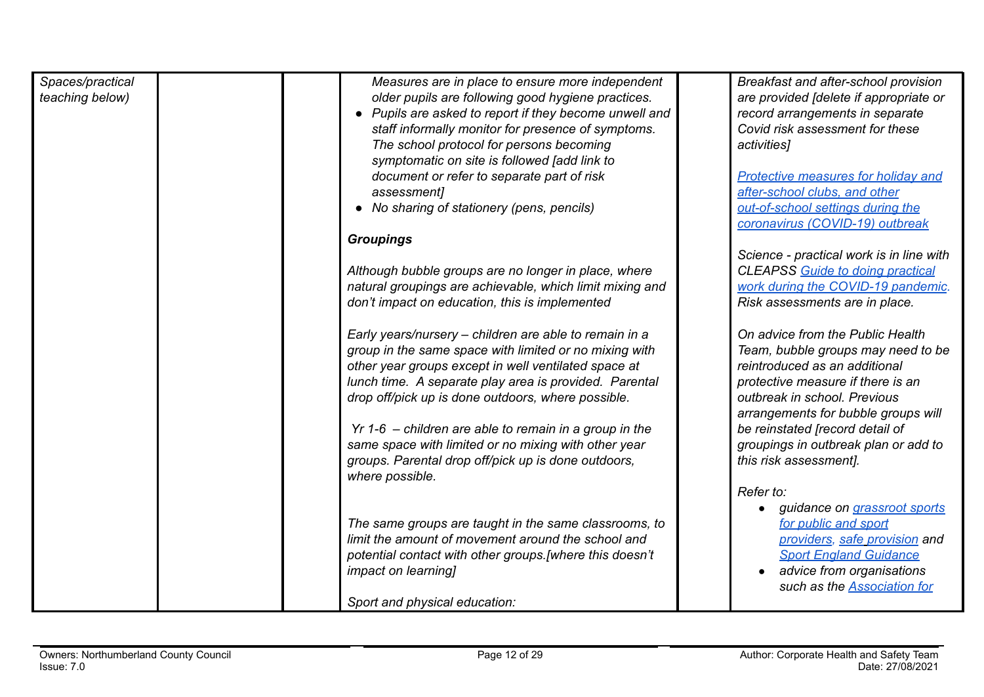| Spaces/practical<br>teaching below) | Measures are in place to ensure more independent<br>older pupils are following good hygiene practices.<br>• Pupils are asked to report if they become unwell and<br>staff informally monitor for presence of symptoms.<br>The school protocol for persons becoming<br>symptomatic on site is followed [add link to<br>document or refer to separate part of risk<br>assessment]<br>• No sharing of stationery (pens, pencils)<br><b>Groupings</b> | Breakfast and after-school provision<br>are provided [delete if appropriate or<br>record arrangements in separate<br>Covid risk assessment for these<br>activities]<br><b>Protective measures for holiday and</b><br>after-school clubs, and other<br>out-of-school settings during the<br>coronavirus (COVID-19) outbreak |
|-------------------------------------|---------------------------------------------------------------------------------------------------------------------------------------------------------------------------------------------------------------------------------------------------------------------------------------------------------------------------------------------------------------------------------------------------------------------------------------------------|----------------------------------------------------------------------------------------------------------------------------------------------------------------------------------------------------------------------------------------------------------------------------------------------------------------------------|
|                                     | Although bubble groups are no longer in place, where<br>natural groupings are achievable, which limit mixing and<br>don't impact on education, this is implemented                                                                                                                                                                                                                                                                                | Science - practical work is in line with<br><b>CLEAPSS</b> Guide to doing practical<br>work during the COVID-19 pandemic.<br>Risk assessments are in place.                                                                                                                                                                |
|                                     | Early years/nursery – children are able to remain in a<br>group in the same space with limited or no mixing with<br>other year groups except in well ventilated space at<br>lunch time. A separate play area is provided. Parental<br>drop off/pick up is done outdoors, where possible.                                                                                                                                                          | On advice from the Public Health<br>Team, bubble groups may need to be<br>reintroduced as an additional<br>protective measure if there is an<br>outbreak in school. Previous<br>arrangements for bubble groups will                                                                                                        |
|                                     | $Yr$ 1-6 – children are able to remain in a group in the<br>same space with limited or no mixing with other year<br>groups. Parental drop off/pick up is done outdoors,<br>where possible.                                                                                                                                                                                                                                                        | be reinstated [record detail of<br>groupings in outbreak plan or add to<br>this risk assessment].                                                                                                                                                                                                                          |
|                                     | The same groups are taught in the same classrooms, to<br>limit the amount of movement around the school and<br>potential contact with other groups.[where this doesn't<br><i>impact on learning]</i><br>Sport and physical education:                                                                                                                                                                                                             | Refer to:<br>guidance on grassroot sports<br>for public and sport<br>providers, safe provision and<br><b>Sport England Guidance</b><br>advice from organisations<br>such as the <b>Association</b> for                                                                                                                     |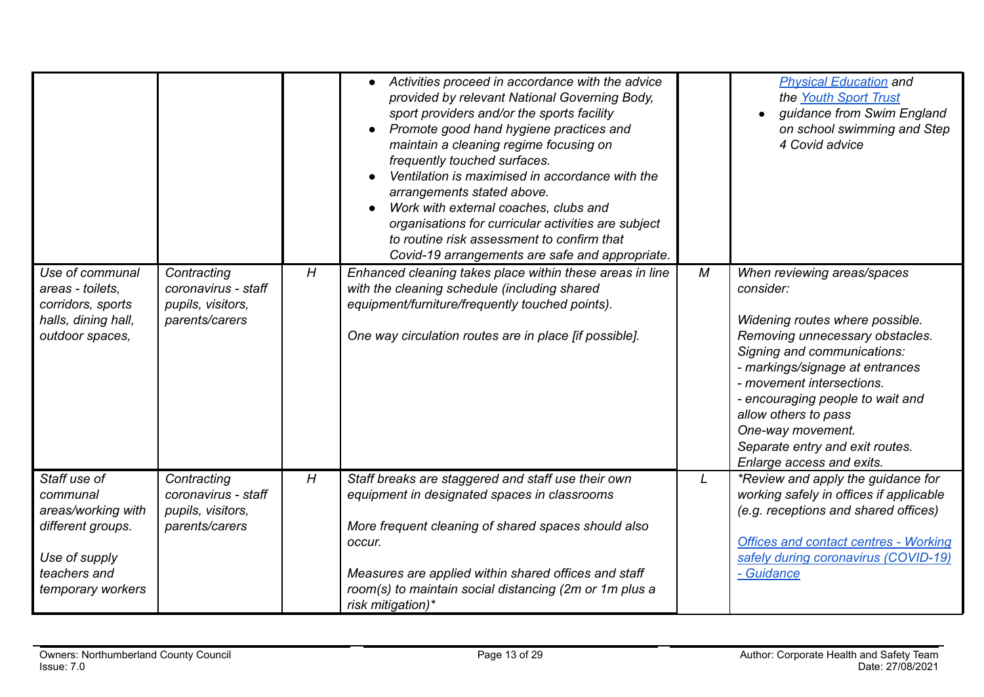|                                                                                                                           |                                                                           |   | Activities proceed in accordance with the advice<br>provided by relevant National Governing Body,<br>sport providers and/or the sports facility<br>Promote good hand hygiene practices and<br>maintain a cleaning regime focusing on<br>frequently touched surfaces.<br>Ventilation is maximised in accordance with the<br>arrangements stated above.<br>Work with external coaches, clubs and<br>organisations for curricular activities are subject<br>to routine risk assessment to confirm that<br>Covid-19 arrangements are safe and appropriate. |   | <b>Physical Education and</b><br>the Youth Sport Trust<br>guidance from Swim England<br>on school swimming and Step<br>4 Covid advice                                                                                                                                                                                                                          |
|---------------------------------------------------------------------------------------------------------------------------|---------------------------------------------------------------------------|---|--------------------------------------------------------------------------------------------------------------------------------------------------------------------------------------------------------------------------------------------------------------------------------------------------------------------------------------------------------------------------------------------------------------------------------------------------------------------------------------------------------------------------------------------------------|---|----------------------------------------------------------------------------------------------------------------------------------------------------------------------------------------------------------------------------------------------------------------------------------------------------------------------------------------------------------------|
| Use of communal<br>areas - toilets,<br>corridors, sports<br>halls, dining hall,<br>outdoor spaces,                        | Contracting<br>coronavirus - staff<br>pupils, visitors,<br>parents/carers | H | Enhanced cleaning takes place within these areas in line<br>with the cleaning schedule (including shared<br>equipment/furniture/frequently touched points).<br>One way circulation routes are in place [if possible].                                                                                                                                                                                                                                                                                                                                  | M | When reviewing areas/spaces<br>consider:<br>Widening routes where possible.<br>Removing unnecessary obstacles.<br>Signing and communications:<br>- markings/signage at entrances<br>- movement intersections.<br>- encouraging people to wait and<br>allow others to pass<br>One-way movement.<br>Separate entry and exit routes.<br>Enlarge access and exits. |
| Staff use of<br>communal<br>areas/working with<br>different groups.<br>Use of supply<br>teachers and<br>temporary workers | Contracting<br>coronavirus - staff<br>pupils, visitors,<br>parents/carers | H | Staff breaks are staggered and staff use their own<br>equipment in designated spaces in classrooms<br>More frequent cleaning of shared spaces should also<br>occur.<br>Measures are applied within shared offices and staff<br>room(s) to maintain social distancing (2m or 1m plus a<br>risk mitigation)*                                                                                                                                                                                                                                             | L | *Review and apply the guidance for<br>working safely in offices if applicable<br>(e.g. receptions and shared offices)<br><b>Offices and contact centres - Working</b><br>safely during coronavirus (COVID-19)<br>- Guidance                                                                                                                                    |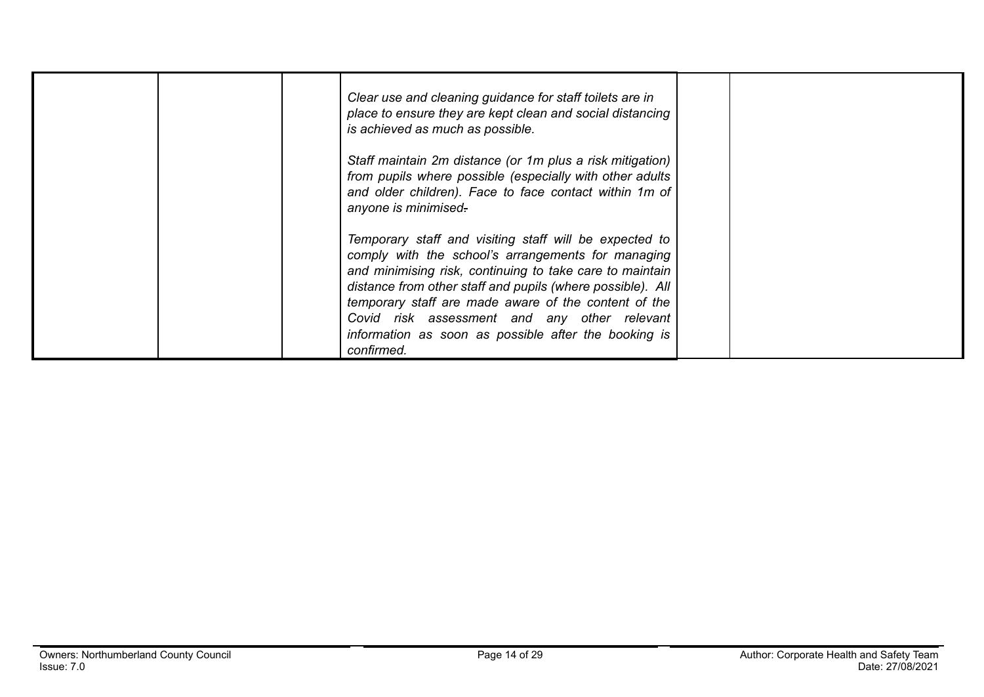| Clear use and cleaning guidance for staff toilets are in<br>place to ensure they are kept clean and social distancing<br>is achieved as much as possible.<br>Staff maintain 2m distance (or 1m plus a risk mitigation)<br>from pupils where possible (especially with other adults             |  |
|------------------------------------------------------------------------------------------------------------------------------------------------------------------------------------------------------------------------------------------------------------------------------------------------|--|
| and older children). Face to face contact within 1m of<br>anyone is minimised-                                                                                                                                                                                                                 |  |
| Temporary staff and visiting staff will be expected to<br>comply with the school's arrangements for managing<br>and minimising risk, continuing to take care to maintain<br>distance from other staff and pupils (where possible). All<br>temporary staff are made aware of the content of the |  |
| Covid risk assessment and any other relevant<br>information as soon as possible after the booking is<br>confirmed.                                                                                                                                                                             |  |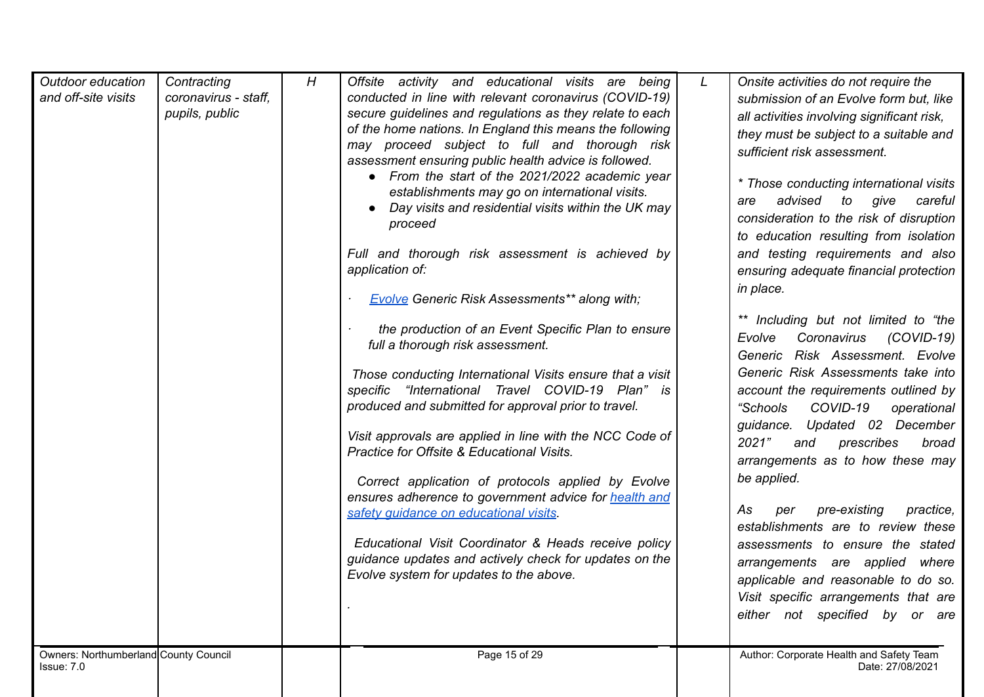| Outdoor education<br>and off-site visits<br>Owners: Northumberland County Council | Contracting<br>coronavirus - staff.<br>pupils, public | H | Offsite activity and educational visits are being<br>conducted in line with relevant coronavirus (COVID-19)<br>secure guidelines and regulations as they relate to each<br>of the home nations. In England this means the following<br>may proceed subject to full and thorough risk<br>assessment ensuring public health advice is followed.<br>• From the start of the 2021/2022 academic year<br>establishments may go on international visits.<br>Day visits and residential visits within the UK may<br>proceed<br>Full and thorough risk assessment is achieved by<br>application of:<br><b>Evolve Generic Risk Assessments** along with;</b><br>the production of an Event Specific Plan to ensure<br>full a thorough risk assessment.<br>Those conducting International Visits ensure that a visit<br>specific "International Travel COVID-19 Plan" is<br>produced and submitted for approval prior to travel.<br>Visit approvals are applied in line with the NCC Code of<br>Practice for Offsite & Educational Visits.<br>Correct application of protocols applied by Evolve<br>ensures adherence to government advice for health and<br>safety guidance on educational visits.<br>Educational Visit Coordinator & Heads receive policy<br>guidance updates and actively check for updates on the<br>Evolve system for updates to the above.<br>Page 15 of 29 | L | Onsite activities do not require the<br>submission of an Evolve form but, like<br>all activities involving significant risk,<br>they must be subject to a suitable and<br>sufficient risk assessment.<br>* Those conducting international visits<br>advised<br>to<br>give<br>careful<br>are<br>consideration to the risk of disruption<br>to education resulting from isolation<br>and testing requirements and also<br>ensuring adequate financial protection<br>in place.<br>** Including but not limited to "the<br>$(COVID-19)$<br>Evolve<br>Coronavirus<br>Generic Risk Assessment. Evolve<br>Generic Risk Assessments take into<br>account the requirements outlined by<br>"Schools"<br>COVID-19<br>operational<br>guidance. Updated 02 December<br>2021"<br>prescribes<br>and<br>broad<br>arrangements as to how these may<br>be applied.<br>As<br>pre-existing<br>practice,<br>per<br>establishments are to review these<br>assessments to ensure the stated<br>arrangements are applied where<br>applicable and reasonable to do so.<br>Visit specific arrangements that are<br>either not specified by or are<br>Author: Corporate Health and Safety Team |
|-----------------------------------------------------------------------------------|-------------------------------------------------------|---|-------------------------------------------------------------------------------------------------------------------------------------------------------------------------------------------------------------------------------------------------------------------------------------------------------------------------------------------------------------------------------------------------------------------------------------------------------------------------------------------------------------------------------------------------------------------------------------------------------------------------------------------------------------------------------------------------------------------------------------------------------------------------------------------------------------------------------------------------------------------------------------------------------------------------------------------------------------------------------------------------------------------------------------------------------------------------------------------------------------------------------------------------------------------------------------------------------------------------------------------------------------------------------------------------------------------------------------------------------------------------|---|---------------------------------------------------------------------------------------------------------------------------------------------------------------------------------------------------------------------------------------------------------------------------------------------------------------------------------------------------------------------------------------------------------------------------------------------------------------------------------------------------------------------------------------------------------------------------------------------------------------------------------------------------------------------------------------------------------------------------------------------------------------------------------------------------------------------------------------------------------------------------------------------------------------------------------------------------------------------------------------------------------------------------------------------------------------------------------------------------------------------------------------------------------------------|
| Issue: 7.0                                                                        |                                                       |   |                                                                                                                                                                                                                                                                                                                                                                                                                                                                                                                                                                                                                                                                                                                                                                                                                                                                                                                                                                                                                                                                                                                                                                                                                                                                                                                                                                         |   | Date: 27/08/2021                                                                                                                                                                                                                                                                                                                                                                                                                                                                                                                                                                                                                                                                                                                                                                                                                                                                                                                                                                                                                                                                                                                                                    |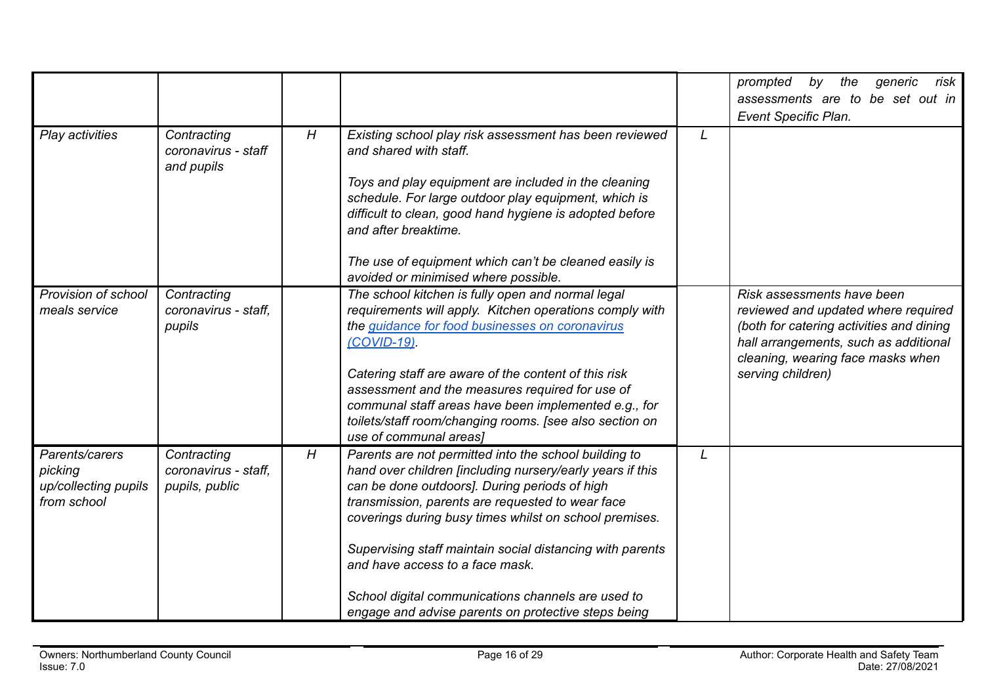|                                                                  |                                                       |   |                                                                                                                                                                                                                                                                                                                                                                                                                                                                                                |   | the<br>risk<br>prompted<br>by<br>generic<br>assessments are to be set out in                                                                                                                                     |
|------------------------------------------------------------------|-------------------------------------------------------|---|------------------------------------------------------------------------------------------------------------------------------------------------------------------------------------------------------------------------------------------------------------------------------------------------------------------------------------------------------------------------------------------------------------------------------------------------------------------------------------------------|---|------------------------------------------------------------------------------------------------------------------------------------------------------------------------------------------------------------------|
|                                                                  |                                                       |   |                                                                                                                                                                                                                                                                                                                                                                                                                                                                                                |   | Event Specific Plan.                                                                                                                                                                                             |
| Play activities                                                  | Contracting<br>coronavirus - staff<br>and pupils      | H | Existing school play risk assessment has been reviewed<br>and shared with staff.<br>Toys and play equipment are included in the cleaning<br>schedule. For large outdoor play equipment, which is<br>difficult to clean, good hand hygiene is adopted before<br>and after breaktime.                                                                                                                                                                                                            | L |                                                                                                                                                                                                                  |
|                                                                  |                                                       |   | The use of equipment which can't be cleaned easily is<br>avoided or minimised where possible.                                                                                                                                                                                                                                                                                                                                                                                                  |   |                                                                                                                                                                                                                  |
| Provision of school<br>meals service                             | Contracting<br>coronavirus - staff,<br>pupils         |   | The school kitchen is fully open and normal legal<br>requirements will apply. Kitchen operations comply with<br>the guidance for food businesses on coronavirus<br>(COVID-19)<br>Catering staff are aware of the content of this risk<br>assessment and the measures required for use of<br>communal staff areas have been implemented e.g., for<br>toilets/staff room/changing rooms. [see also section on<br>use of communal areas]                                                          |   | Risk assessments have been<br>reviewed and updated where required<br>(both for catering activities and dining<br>hall arrangements, such as additional<br>cleaning, wearing face masks when<br>serving children) |
| Parents/carers<br>picking<br>up/collecting pupils<br>from school | Contracting<br>coronavirus - staff,<br>pupils, public | H | Parents are not permitted into the school building to<br>hand over children [including nursery/early years if this<br>can be done outdoors]. During periods of high<br>transmission, parents are requested to wear face<br>coverings during busy times whilst on school premises.<br>Supervising staff maintain social distancing with parents<br>and have access to a face mask.<br>School digital communications channels are used to<br>engage and advise parents on protective steps being | L |                                                                                                                                                                                                                  |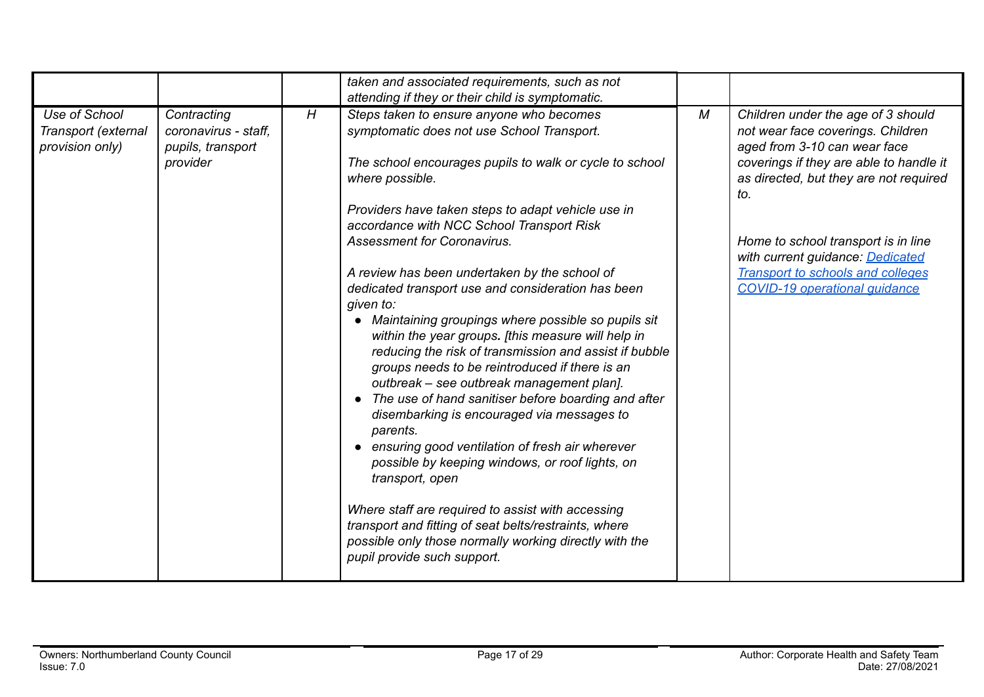|                                                         |                                                                      |   | taken and associated requirements, such as not                                                                                                                                                                                                                                                                                                                                                                                                                                                                                                                                                                                                                                                                                                                                                                                                                                                                                                                                                                                                                                                                                                                                     |   |                                                                                                                                                                                                                                                                                                                                                                    |
|---------------------------------------------------------|----------------------------------------------------------------------|---|------------------------------------------------------------------------------------------------------------------------------------------------------------------------------------------------------------------------------------------------------------------------------------------------------------------------------------------------------------------------------------------------------------------------------------------------------------------------------------------------------------------------------------------------------------------------------------------------------------------------------------------------------------------------------------------------------------------------------------------------------------------------------------------------------------------------------------------------------------------------------------------------------------------------------------------------------------------------------------------------------------------------------------------------------------------------------------------------------------------------------------------------------------------------------------|---|--------------------------------------------------------------------------------------------------------------------------------------------------------------------------------------------------------------------------------------------------------------------------------------------------------------------------------------------------------------------|
| Use of School<br>Transport (external<br>provision only) | Contracting<br>coronavirus - staff.<br>pupils, transport<br>provider | H | attending if they or their child is symptomatic.<br>Steps taken to ensure anyone who becomes<br>symptomatic does not use School Transport.<br>The school encourages pupils to walk or cycle to school<br>where possible.<br>Providers have taken steps to adapt vehicle use in<br>accordance with NCC School Transport Risk<br><b>Assessment for Coronavirus.</b><br>A review has been undertaken by the school of<br>dedicated transport use and consideration has been<br>given to:<br>• Maintaining groupings where possible so pupils sit<br>within the year groups. [this measure will help in<br>reducing the risk of transmission and assist if bubble<br>groups needs to be reintroduced if there is an<br>outbreak - see outbreak management plan].<br>• The use of hand sanitiser before boarding and after<br>disembarking is encouraged via messages to<br>parents.<br>• ensuring good ventilation of fresh air wherever<br>possible by keeping windows, or roof lights, on<br>transport, open<br>Where staff are required to assist with accessing<br>transport and fitting of seat belts/restraints, where<br>possible only those normally working directly with the | M | Children under the age of 3 should<br>not wear face coverings. Children<br>aged from 3-10 can wear face<br>coverings if they are able to handle it<br>as directed, but they are not required<br>to.<br>Home to school transport is in line<br>with current guidance: Dedicated<br><b>Transport to schools and colleges</b><br><b>COVID-19 operational quidance</b> |
|                                                         |                                                                      |   | pupil provide such support.                                                                                                                                                                                                                                                                                                                                                                                                                                                                                                                                                                                                                                                                                                                                                                                                                                                                                                                                                                                                                                                                                                                                                        |   |                                                                                                                                                                                                                                                                                                                                                                    |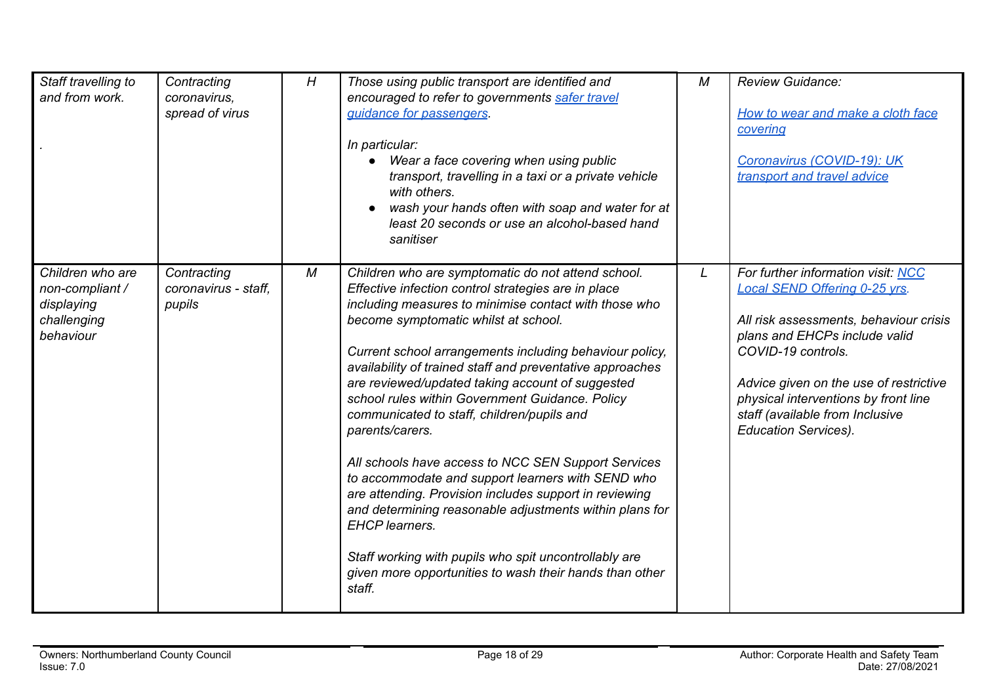| Staff travelling to<br>and from work.                                         | Contracting<br>coronavirus,<br>spread of virus | H | Those using public transport are identified and<br>encouraged to refer to governments safer travel<br>quidance for passengers.<br>In particular:<br>Wear a face covering when using public<br>transport, travelling in a taxi or a private vehicle<br>with others.<br>wash your hands often with soap and water for at<br>least 20 seconds or use an alcohol-based hand<br>sanitiser                                                                                                                                                                                                                                                                                                                                                                                                                                                                                                               | M | <b>Review Guidance:</b><br>How to wear and make a cloth face<br>covering<br>Coronavirus (COVID-19): UK<br>transport and travel advice                                                                                                                                                                                    |
|-------------------------------------------------------------------------------|------------------------------------------------|---|----------------------------------------------------------------------------------------------------------------------------------------------------------------------------------------------------------------------------------------------------------------------------------------------------------------------------------------------------------------------------------------------------------------------------------------------------------------------------------------------------------------------------------------------------------------------------------------------------------------------------------------------------------------------------------------------------------------------------------------------------------------------------------------------------------------------------------------------------------------------------------------------------|---|--------------------------------------------------------------------------------------------------------------------------------------------------------------------------------------------------------------------------------------------------------------------------------------------------------------------------|
| Children who are<br>non-compliant /<br>displaying<br>challenging<br>behaviour | Contracting<br>coronavirus - staff.<br>pupils  | М | Children who are symptomatic do not attend school.<br>Effective infection control strategies are in place<br>including measures to minimise contact with those who<br>become symptomatic whilst at school.<br>Current school arrangements including behaviour policy,<br>availability of trained staff and preventative approaches<br>are reviewed/updated taking account of suggested<br>school rules within Government Guidance. Policy<br>communicated to staff, children/pupils and<br>parents/carers.<br>All schools have access to NCC SEN Support Services<br>to accommodate and support learners with SEND who<br>are attending. Provision includes support in reviewing<br>and determining reasonable adjustments within plans for<br><b>EHCP</b> learners.<br>Staff working with pupils who spit uncontrollably are<br>given more opportunities to wash their hands than other<br>staff. | L | For further information visit: NCC<br>Local SEND Offering 0-25 yrs.<br>All risk assessments, behaviour crisis<br>plans and EHCPs include valid<br>COVID-19 controls.<br>Advice given on the use of restrictive<br>physical interventions by front line<br>staff (available from Inclusive<br><b>Education Services).</b> |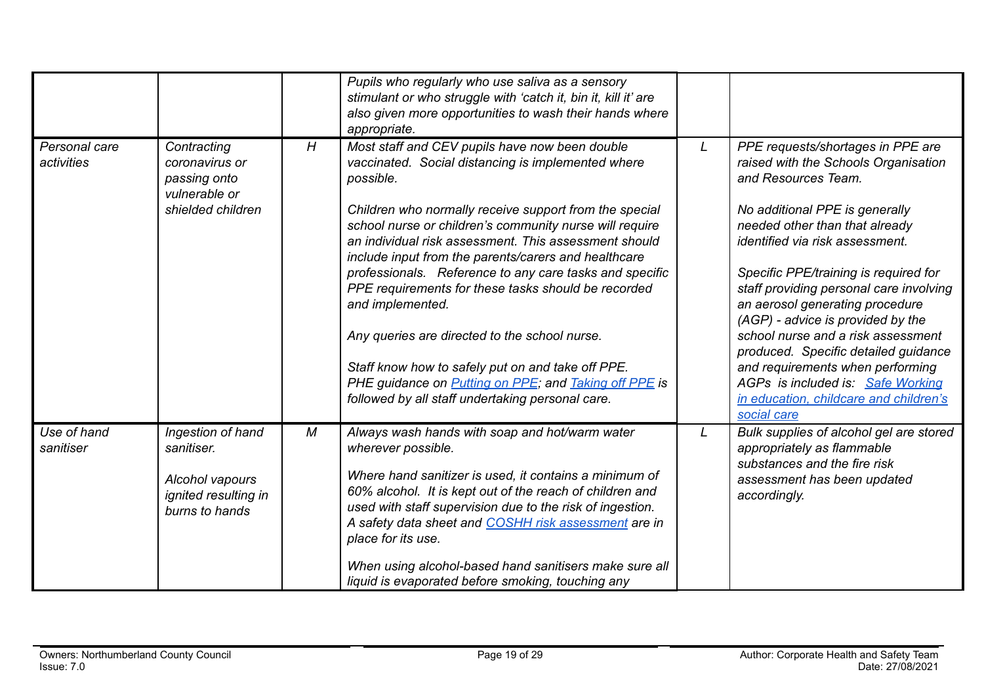|                             |                                                                                              |   | Pupils who regularly who use saliva as a sensory<br>stimulant or who struggle with 'catch it, bin it, kill it' are<br>also given more opportunities to wash their hands where<br>appropriate.                                                                                                                                                                                                                                                                                                                                                                                                                                                                                                                                   |   |                                                                                                                                                                                                                                                                                                                                                                                                                                                                                                                                                                                     |
|-----------------------------|----------------------------------------------------------------------------------------------|---|---------------------------------------------------------------------------------------------------------------------------------------------------------------------------------------------------------------------------------------------------------------------------------------------------------------------------------------------------------------------------------------------------------------------------------------------------------------------------------------------------------------------------------------------------------------------------------------------------------------------------------------------------------------------------------------------------------------------------------|---|-------------------------------------------------------------------------------------------------------------------------------------------------------------------------------------------------------------------------------------------------------------------------------------------------------------------------------------------------------------------------------------------------------------------------------------------------------------------------------------------------------------------------------------------------------------------------------------|
| Personal care<br>activities | Contracting<br>coronavirus or<br>passing onto<br>vulnerable or<br>shielded children          | H | Most staff and CEV pupils have now been double<br>vaccinated. Social distancing is implemented where<br>possible.<br>Children who normally receive support from the special<br>school nurse or children's community nurse will require<br>an individual risk assessment. This assessment should<br>include input from the parents/carers and healthcare<br>professionals. Reference to any care tasks and specific<br>PPE requirements for these tasks should be recorded<br>and implemented.<br>Any queries are directed to the school nurse.<br>Staff know how to safely put on and take off PPE.<br>PHE guidance on <b>Putting on PPE</b> ; and <b>Taking off PPE</b> is<br>followed by all staff undertaking personal care. | L | PPE requests/shortages in PPE are<br>raised with the Schools Organisation<br>and Resources Team.<br>No additional PPE is generally<br>needed other than that already<br>identified via risk assessment.<br>Specific PPE/training is required for<br>staff providing personal care involving<br>an aerosol generating procedure<br>(AGP) - advice is provided by the<br>school nurse and a risk assessment<br>produced. Specific detailed guidance<br>and requirements when performing<br>AGPs is included is: Safe Working<br>in education, childcare and children's<br>social care |
| Use of hand<br>sanitiser    | Ingestion of hand<br>sanitiser.<br>Alcohol vapours<br>ignited resulting in<br>burns to hands | M | Always wash hands with soap and hot/warm water<br>wherever possible.<br>Where hand sanitizer is used, it contains a minimum of<br>60% alcohol. It is kept out of the reach of children and<br>used with staff supervision due to the risk of ingestion.<br>A safety data sheet and COSHH risk assessment are in<br>place for its use.<br>When using alcohol-based hand sanitisers make sure all<br>liquid is evaporated before smoking, touching any                                                                                                                                                                                                                                                                            | L | Bulk supplies of alcohol gel are stored<br>appropriately as flammable<br>substances and the fire risk<br>assessment has been updated<br>accordingly.                                                                                                                                                                                                                                                                                                                                                                                                                                |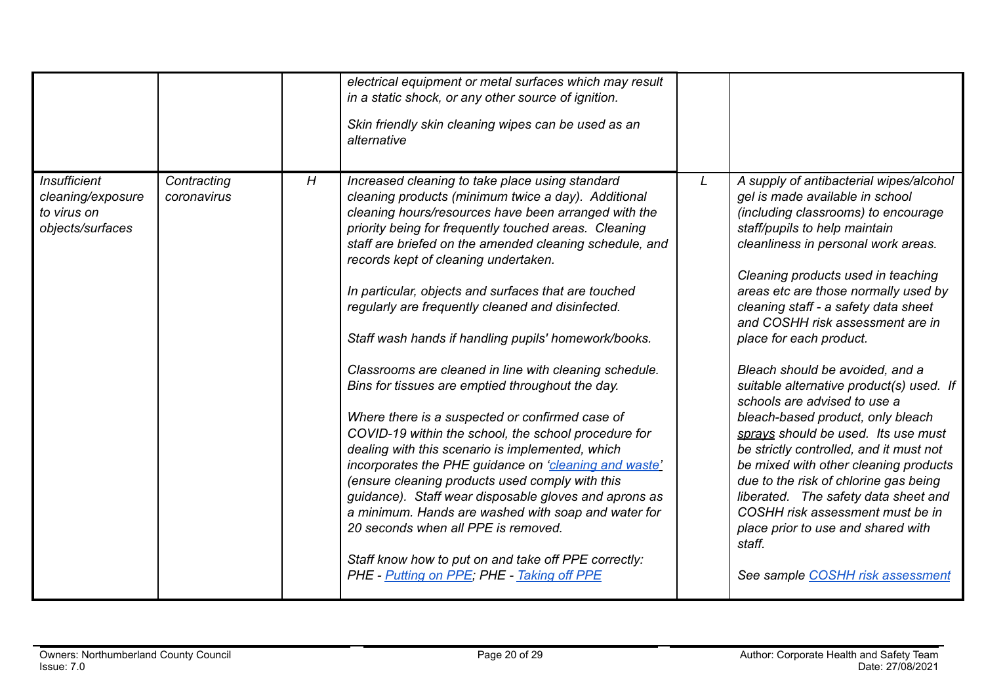|                                                                             |                            |   | electrical equipment or metal surfaces which may result<br>in a static shock, or any other source of ignition.<br>Skin friendly skin cleaning wipes can be used as an<br>alternative                                                                                                                                                                                                                                                                                                                                                                                                                                                                                                                                                                                                                                                                                                                                                                                                                                                                                                                                                                  |   |                                                                                                                                                                                                                                                                                                                                                                                                                                                                                                                                                                                                                                                                                                                                                                                                                                                                        |
|-----------------------------------------------------------------------------|----------------------------|---|-------------------------------------------------------------------------------------------------------------------------------------------------------------------------------------------------------------------------------------------------------------------------------------------------------------------------------------------------------------------------------------------------------------------------------------------------------------------------------------------------------------------------------------------------------------------------------------------------------------------------------------------------------------------------------------------------------------------------------------------------------------------------------------------------------------------------------------------------------------------------------------------------------------------------------------------------------------------------------------------------------------------------------------------------------------------------------------------------------------------------------------------------------|---|------------------------------------------------------------------------------------------------------------------------------------------------------------------------------------------------------------------------------------------------------------------------------------------------------------------------------------------------------------------------------------------------------------------------------------------------------------------------------------------------------------------------------------------------------------------------------------------------------------------------------------------------------------------------------------------------------------------------------------------------------------------------------------------------------------------------------------------------------------------------|
|                                                                             |                            |   |                                                                                                                                                                                                                                                                                                                                                                                                                                                                                                                                                                                                                                                                                                                                                                                                                                                                                                                                                                                                                                                                                                                                                       |   |                                                                                                                                                                                                                                                                                                                                                                                                                                                                                                                                                                                                                                                                                                                                                                                                                                                                        |
| <b>Insufficient</b><br>cleaning/exposure<br>to virus on<br>objects/surfaces | Contracting<br>coronavirus | H | Increased cleaning to take place using standard<br>cleaning products (minimum twice a day). Additional<br>cleaning hours/resources have been arranged with the<br>priority being for frequently touched areas. Cleaning<br>staff are briefed on the amended cleaning schedule, and<br>records kept of cleaning undertaken.<br>In particular, objects and surfaces that are touched<br>regularly are frequently cleaned and disinfected.<br>Staff wash hands if handling pupils' homework/books.<br>Classrooms are cleaned in line with cleaning schedule.<br>Bins for tissues are emptied throughout the day.<br>Where there is a suspected or confirmed case of<br>COVID-19 within the school, the school procedure for<br>dealing with this scenario is implemented, which<br>incorporates the PHE guidance on 'cleaning and waste'<br>(ensure cleaning products used comply with this<br>guidance). Staff wear disposable gloves and aprons as<br>a minimum. Hands are washed with soap and water for<br>20 seconds when all PPE is removed.<br>Staff know how to put on and take off PPE correctly:<br>PHE - Putting on PPE; PHE - Taking off PPE | L | A supply of antibacterial wipes/alcohol<br>gel is made available in school<br>(including classrooms) to encourage<br>staff/pupils to help maintain<br>cleanliness in personal work areas.<br>Cleaning products used in teaching<br>areas etc are those normally used by<br>cleaning staff - a safety data sheet<br>and COSHH risk assessment are in<br>place for each product.<br>Bleach should be avoided, and a<br>suitable alternative product(s) used. If<br>schools are advised to use a<br>bleach-based product, only bleach<br>sprays should be used. Its use must<br>be strictly controlled, and it must not<br>be mixed with other cleaning products<br>due to the risk of chlorine gas being<br>liberated. The safety data sheet and<br>COSHH risk assessment must be in<br>place prior to use and shared with<br>staff.<br>See sample COSHH risk assessment |
|                                                                             |                            |   |                                                                                                                                                                                                                                                                                                                                                                                                                                                                                                                                                                                                                                                                                                                                                                                                                                                                                                                                                                                                                                                                                                                                                       |   |                                                                                                                                                                                                                                                                                                                                                                                                                                                                                                                                                                                                                                                                                                                                                                                                                                                                        |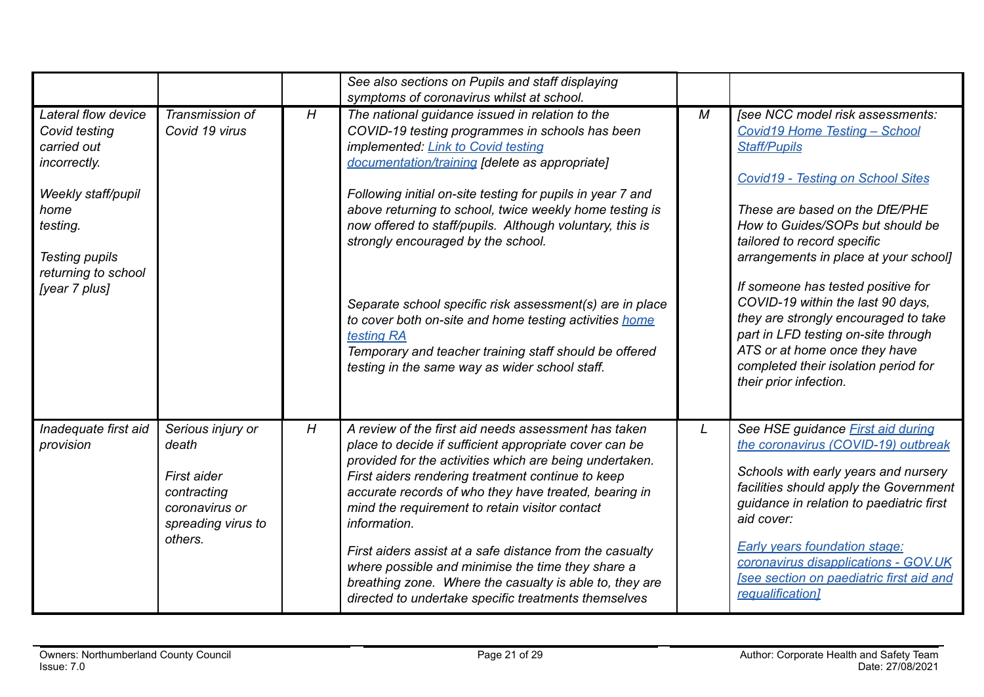|                                                                                                                                                                                |                                                                                                             |   | See also sections on Pupils and staff displaying                                                                                                                                                                                                                                                                                                                                                                                                                                                                                                                                                                                                                                                                   |   |                                                                                                                                                                                                                                                                                                                                                                                                                                                                                                                                                        |
|--------------------------------------------------------------------------------------------------------------------------------------------------------------------------------|-------------------------------------------------------------------------------------------------------------|---|--------------------------------------------------------------------------------------------------------------------------------------------------------------------------------------------------------------------------------------------------------------------------------------------------------------------------------------------------------------------------------------------------------------------------------------------------------------------------------------------------------------------------------------------------------------------------------------------------------------------------------------------------------------------------------------------------------------------|---|--------------------------------------------------------------------------------------------------------------------------------------------------------------------------------------------------------------------------------------------------------------------------------------------------------------------------------------------------------------------------------------------------------------------------------------------------------------------------------------------------------------------------------------------------------|
| Lateral flow device<br>Covid testing<br>carried out<br>incorrectly.<br>Weekly staff/pupil<br>home<br>testing.<br><b>Testing pupils</b><br>returning to school<br>[year 7 plus] | Transmission of<br>Covid 19 virus                                                                           | H | symptoms of coronavirus whilst at school.<br>The national guidance issued in relation to the<br>COVID-19 testing programmes in schools has been<br>implemented: Link to Covid testing<br>documentation/training [delete as appropriate]<br>Following initial on-site testing for pupils in year 7 and<br>above returning to school, twice weekly home testing is<br>now offered to staff/pupils. Although voluntary, this is<br>strongly encouraged by the school.<br>Separate school specific risk assessment(s) are in place<br>to cover both on-site and home testing activities home<br>testing RA<br>Temporary and teacher training staff should be offered<br>testing in the same way as wider school staff. | M | [see NCC model risk assessments:<br><b>Covid19 Home Testing - School</b><br><b>Staff/Pupils</b><br><b>Covid19 - Testing on School Sites</b><br>These are based on the DfE/PHE<br>How to Guides/SOPs but should be<br>tailored to record specific<br>arrangements in place at your school]<br>If someone has tested positive for<br>COVID-19 within the last 90 days,<br>they are strongly encouraged to take<br>part in LFD testing on-site through<br>ATS or at home once they have<br>completed their isolation period for<br>their prior infection. |
| Inadequate first aid<br>provision                                                                                                                                              | Serious injury or<br>death<br>First aider<br>contracting<br>coronavirus or<br>spreading virus to<br>others. | H | A review of the first aid needs assessment has taken<br>place to decide if sufficient appropriate cover can be<br>provided for the activities which are being undertaken.<br>First aiders rendering treatment continue to keep<br>accurate records of who they have treated, bearing in<br>mind the requirement to retain visitor contact<br>information.<br>First aiders assist at a safe distance from the casualty<br>where possible and minimise the time they share a<br>breathing zone. Where the casualty is able to, they are<br>directed to undertake specific treatments themselves                                                                                                                      | L | See HSE guidance <b>First aid during</b><br>the coronavirus (COVID-19) outbreak<br>Schools with early years and nursery<br>facilities should apply the Government<br>guidance in relation to paediatric first<br>aid cover:<br><b>Early years foundation stage:</b><br>coronavirus disapplications - GOV.UK<br>[see section on paediatric first aid and<br>requalification]                                                                                                                                                                            |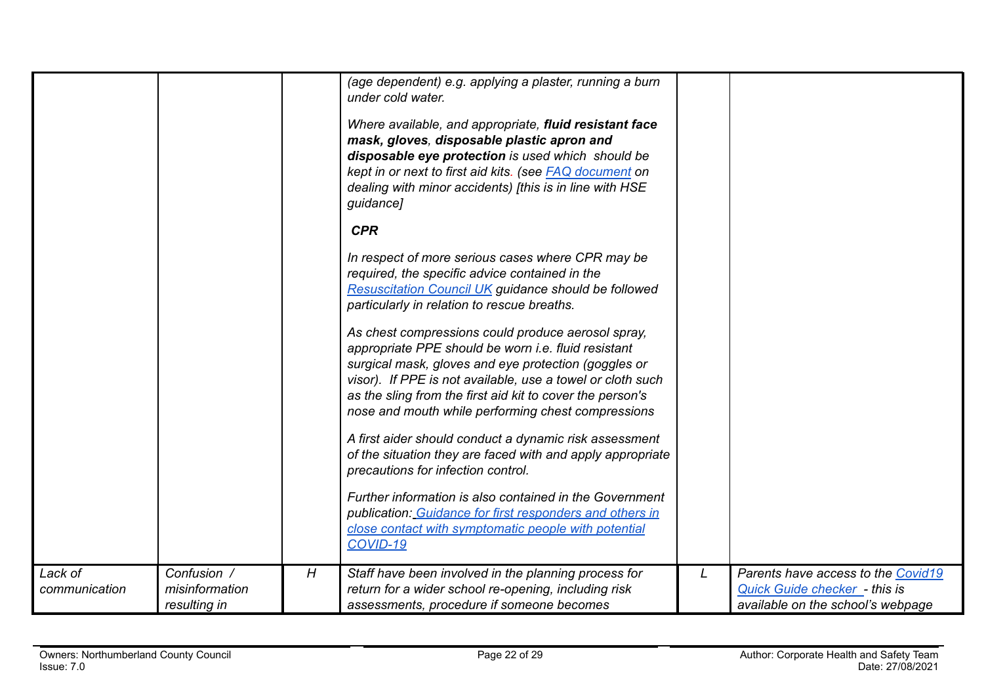|                          |                                               |   | (age dependent) e.g. applying a plaster, running a burn<br>under cold water.<br>Where available, and appropriate, fluid resistant face<br>mask, gloves, disposable plastic apron and<br>disposable eye protection is used which should be<br>kept in or next to first aid kits. (see <b>FAQ</b> document on<br>dealing with minor accidents) [this is in line with HSE<br>guidance]<br><b>CPR</b><br>In respect of more serious cases where CPR may be<br>required, the specific advice contained in the<br><b>Resuscitation Council UK guidance should be followed</b><br>particularly in relation to rescue breaths.<br>As chest compressions could produce aerosol spray,<br>appropriate PPE should be worn i.e. fluid resistant<br>surgical mask, gloves and eye protection (goggles or<br>visor). If PPE is not available, use a towel or cloth such<br>as the sling from the first aid kit to cover the person's<br>nose and mouth while performing chest compressions<br>A first aider should conduct a dynamic risk assessment<br>of the situation they are faced with and apply appropriate<br>precautions for infection control.<br>Further information is also contained in the Government<br>publication: Guidance for first responders and others in<br>close contact with symptomatic people with potential<br>COVID-19 |   |                                                                                                          |
|--------------------------|-----------------------------------------------|---|---------------------------------------------------------------------------------------------------------------------------------------------------------------------------------------------------------------------------------------------------------------------------------------------------------------------------------------------------------------------------------------------------------------------------------------------------------------------------------------------------------------------------------------------------------------------------------------------------------------------------------------------------------------------------------------------------------------------------------------------------------------------------------------------------------------------------------------------------------------------------------------------------------------------------------------------------------------------------------------------------------------------------------------------------------------------------------------------------------------------------------------------------------------------------------------------------------------------------------------------------------------------------------------------------------------------------------------|---|----------------------------------------------------------------------------------------------------------|
| Lack of<br>communication | Confusion /<br>misinformation<br>resulting in | H | Staff have been involved in the planning process for<br>return for a wider school re-opening, including risk<br>assessments, procedure if someone becomes                                                                                                                                                                                                                                                                                                                                                                                                                                                                                                                                                                                                                                                                                                                                                                                                                                                                                                                                                                                                                                                                                                                                                                             | L | Parents have access to the Covid19<br>Quick Guide checker - this is<br>available on the school's webpage |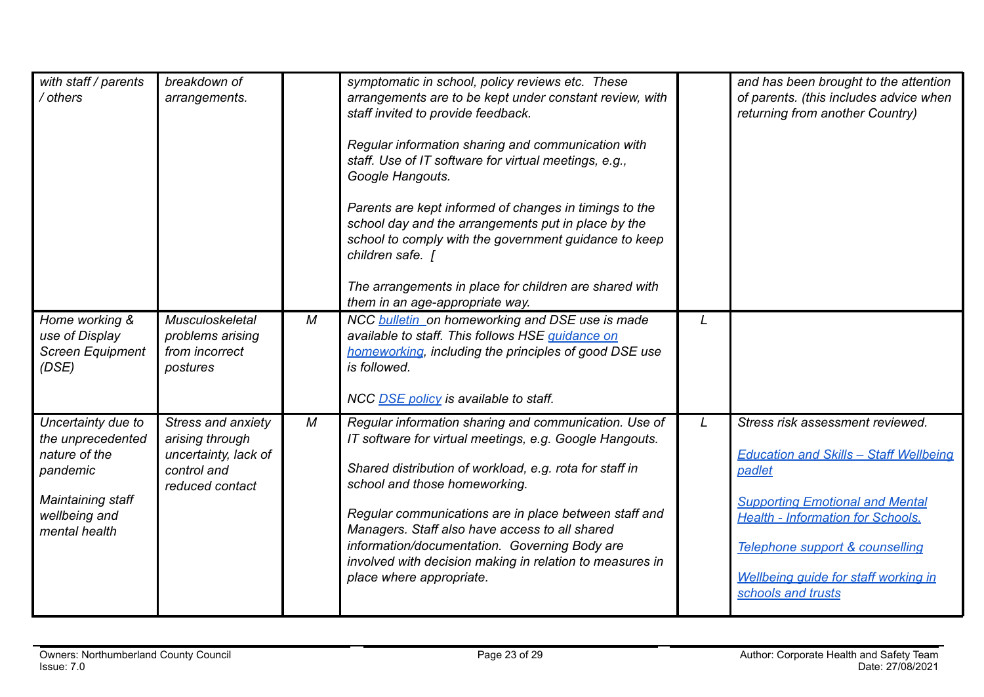| with staff / parents<br>/ others                                                                                            | breakdown of<br>arrangements.                                                                   |   | symptomatic in school, policy reviews etc. These<br>arrangements are to be kept under constant review, with<br>staff invited to provide feedback.<br>Regular information sharing and communication with<br>staff. Use of IT software for virtual meetings, e.g.,<br>Google Hangouts.<br>Parents are kept informed of changes in timings to the<br>school day and the arrangements put in place by the<br>school to comply with the government guidance to keep<br>children safe.<br>The arrangements in place for children are shared with<br>them in an age-appropriate way. |   | and has been brought to the attention<br>of parents. (this includes advice when<br>returning from another Country)                                                                                                                                                                        |
|-----------------------------------------------------------------------------------------------------------------------------|-------------------------------------------------------------------------------------------------|---|-------------------------------------------------------------------------------------------------------------------------------------------------------------------------------------------------------------------------------------------------------------------------------------------------------------------------------------------------------------------------------------------------------------------------------------------------------------------------------------------------------------------------------------------------------------------------------|---|-------------------------------------------------------------------------------------------------------------------------------------------------------------------------------------------------------------------------------------------------------------------------------------------|
| Home working &<br>use of Display<br><b>Screen Equipment</b><br>(DSE)                                                        | Musculoskeletal<br>problems arising<br>from incorrect<br>postures                               | M | NCC bulletin on homeworking and DSE use is made<br>available to staff. This follows HSE guidance on<br>homeworking, including the principles of good DSE use<br>is followed.<br>NCC DSE policy is available to staff.                                                                                                                                                                                                                                                                                                                                                         | L |                                                                                                                                                                                                                                                                                           |
| Uncertainty due to<br>the unprecedented<br>nature of the<br>pandemic<br>Maintaining staff<br>wellbeing and<br>mental health | Stress and anxiety<br>arising through<br>uncertainty, lack of<br>control and<br>reduced contact | M | Regular information sharing and communication. Use of<br>IT software for virtual meetings, e.g. Google Hangouts.<br>Shared distribution of workload, e.g. rota for staff in<br>school and those homeworking.<br>Regular communications are in place between staff and<br>Managers. Staff also have access to all shared<br>information/documentation. Governing Body are<br>involved with decision making in relation to measures in<br>place where appropriate.                                                                                                              | L | Stress risk assessment reviewed.<br><b>Education and Skills - Staff Wellbeing</b><br>padlet<br><b>Supporting Emotional and Mental</b><br><b>Health - Information for Schools.</b><br>Telephone support & counselling<br><b>Wellbeing quide for staff working in</b><br>schools and trusts |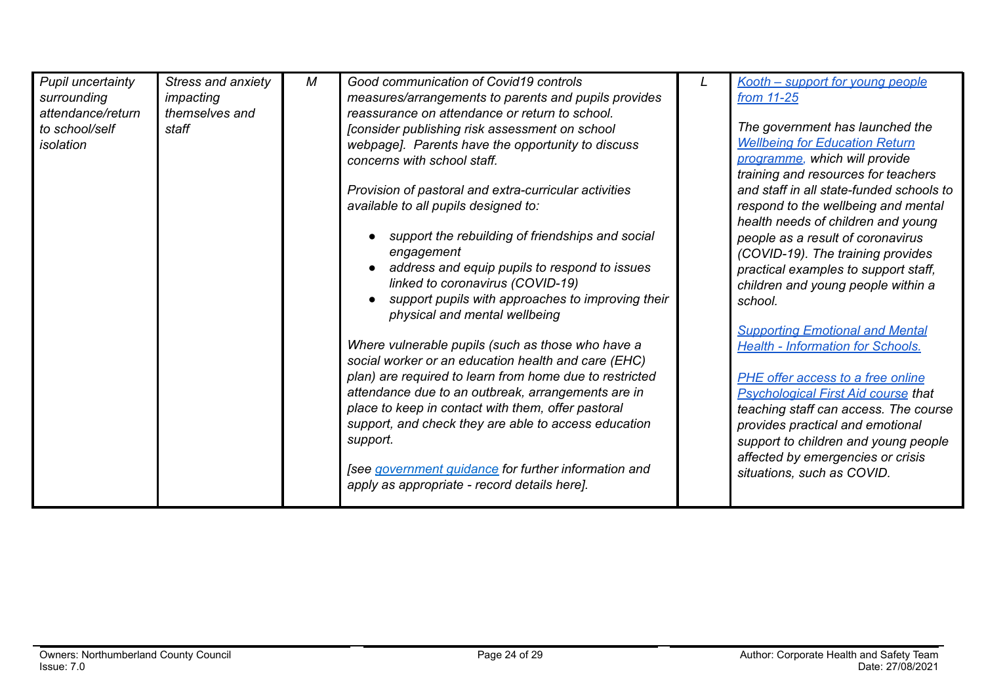| Pupil uncertainty<br>surrounding<br>attendance/return<br>to school/self<br>isolation | Stress and anxiety<br>impacting<br>themselves and<br>staff | М | Good communication of Covid19 controls<br>measures/arrangements to parents and pupils provides<br>reassurance on attendance or return to school.<br>[consider publishing risk assessment on school<br>webpage]. Parents have the opportunity to discuss<br>concerns with school staff.<br>Provision of pastoral and extra-curricular activities<br>available to all pupils designed to:<br>support the rebuilding of friendships and social<br>engagement | Kooth - support for young people<br>from 11-25<br>The government has launched the<br><b>Wellbeing for Education Return</b><br>programme, which will provide<br>training and resources for teachers<br>and staff in all state-funded schools to<br>respond to the wellbeing and mental<br>health needs of children and young<br>people as a result of coronavirus<br>(COVID-19). The training provides |
|--------------------------------------------------------------------------------------|------------------------------------------------------------|---|-----------------------------------------------------------------------------------------------------------------------------------------------------------------------------------------------------------------------------------------------------------------------------------------------------------------------------------------------------------------------------------------------------------------------------------------------------------|-------------------------------------------------------------------------------------------------------------------------------------------------------------------------------------------------------------------------------------------------------------------------------------------------------------------------------------------------------------------------------------------------------|
|                                                                                      |                                                            |   | address and equip pupils to respond to issues<br>linked to coronavirus (COVID-19)<br>support pupils with approaches to improving their                                                                                                                                                                                                                                                                                                                    | practical examples to support staff,<br>children and young people within a<br>school.                                                                                                                                                                                                                                                                                                                 |
|                                                                                      |                                                            |   | physical and mental wellbeing<br>Where vulnerable pupils (such as those who have a<br>social worker or an education health and care (EHC)                                                                                                                                                                                                                                                                                                                 | <b>Supporting Emotional and Mental</b><br><b>Health - Information for Schools.</b>                                                                                                                                                                                                                                                                                                                    |
|                                                                                      |                                                            |   | plan) are required to learn from home due to restricted<br>attendance due to an outbreak, arrangements are in<br>place to keep in contact with them, offer pastoral<br>support, and check they are able to access education<br>support.                                                                                                                                                                                                                   | PHE offer access to a free online<br><b>Psychological First Aid course that</b><br>teaching staff can access. The course<br>provides practical and emotional<br>support to children and young people                                                                                                                                                                                                  |
|                                                                                      |                                                            |   | [see government guidance for further information and<br>apply as appropriate - record details here].                                                                                                                                                                                                                                                                                                                                                      | affected by emergencies or crisis<br>situations, such as COVID.                                                                                                                                                                                                                                                                                                                                       |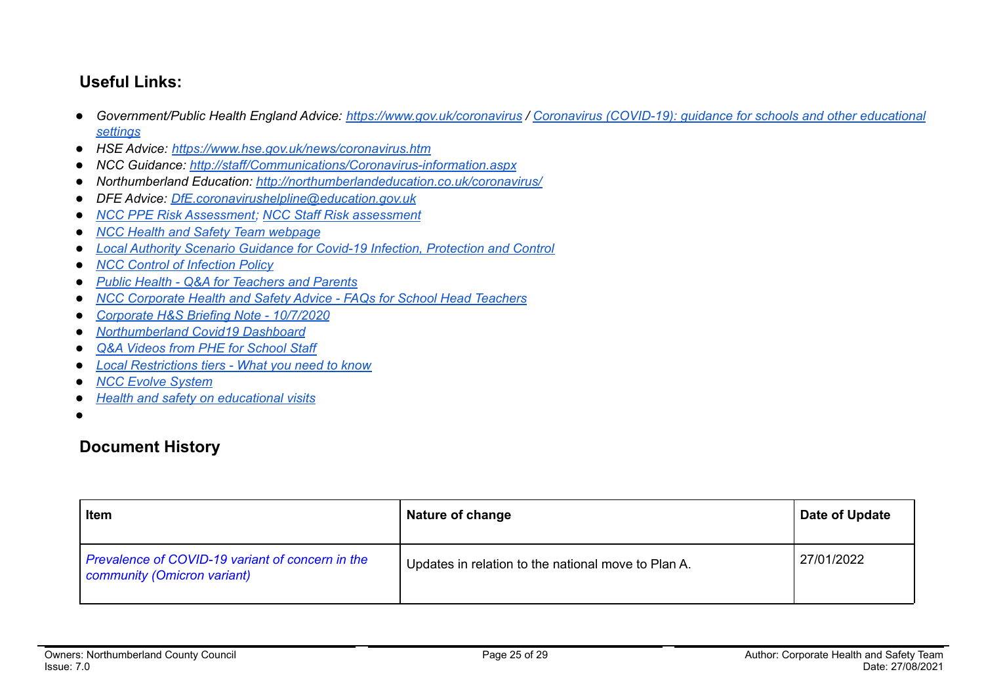## **Useful Links:**

- Government/Public Health England Advice: <https://www.gov.uk/coronavirus> / Coronavirus [\(COVID-19\):](https://www.gov.uk/government/collections/coronavirus-covid-19-guidance-for-schools-and-other-educational-settings) guidance for schools and other educational *[settings](https://www.gov.uk/government/collections/coronavirus-covid-19-guidance-for-schools-and-other-educational-settings)*
- *● HSE Advice: <https://www.hse.gov.uk/news/coronavirus.htm>*
- *● NCC Guidance: <http://staff/Communications/Coronavirus-information.aspx>*
- *● Northumberland Education: <http://northumberlandeducation.co.uk/coronavirus/>*
- *● DFE Advice: [DfE.coronavirushelpline@education.gov.uk](mailto:DfE.coronavirushelpline@education.gov.uk)*
- *● NCC PPE Risk [Assessment;](https://drive.google.com/open?id=1sUlE_jdLkBZdI43kOR6mYCzaiKlTeRzGkODE3qshrr4) NCC Staff Risk [assessment](https://docs.google.com/document/d/1GFWU1_ox_k5SlXHhDfxdwa_gNnBlCM60NNhXjr7Kf40/edit)*
- *● NCC Health and Safety Team [webpage](https://www.northumberland.gov.uk/About/Staff.aspx#staffhealthsafety)*
- *● Local Authority Scenario Guidance for Covid-19 Infection, [Protection](https://docs.google.com/document/d/1v4ujp1l1zuF89TqDOED7T1kucMSPPyLnLQwor2CHq08/edit) and Control*
- *● NCC Control of [Infection](https://www.northumberland.gov.uk/NorthumberlandCountyCouncil/media/About-the-Council/Staff%20Information/Health%20and%20safety/Policy%20Documents%20and%20Guidance/Control-of-Infection-Policy-August-2013-HR-Policy.docx) Policy*
- *● Public Health - Q&A for [Teachers](https://drive.google.com/file/d/17XV-sP7aRNuW59JxoHV6YQzh62rm1wRZ/view?usp=sharing) and Parents*
- *● NCC [Corporate](https://northumberland365.sharepoint.com/:w:/s/StaffPortal/EZ8UvoW88aZCi74_cavsuuIBWlHIpnJFVMVn1mM_pulI3Q) Health and Safety Advice - FAQs for School Head Teachers*
- *● [Corporate](https://docs.google.com/document/d/1qs4cbslP43wLz5MsoDJZ7OCTo_1AyQq76kXIc_KYhls/edit) H&S Briefing Note - 10/7/2020*
- *● [Northumberland](https://public.tableau.com/profile/julian5701#!/vizhome/COVID-19inNorthumberland/Introduction) Covid19 Dashboard*
- *Q&A Videos from PHE for [School](https://northumberlandeducation.co.uk/qa-videos-to-help-school-staff-2/) Staff*
- **●** *Local [Restrictions](https://www.gov.uk/guidance/local-restriction-tiers-what-you-need-to-know) tiers - What you need to know*
- **●** *NCC Evolve [System](https://evolve.edufocus.co.uk/evco10/evchome_public.asp?domain=northumberlandvisits.org.uk)*
- **●** *Health and safety on [educational](https://www.gov.uk/government/publications/health-and-safety-on-educational-visits/health-and-safety-on-educational-visits) visits*
- ●

## **Document History**

| <b>Item</b>                                                                     | Nature of change                                    | Date of Update |
|---------------------------------------------------------------------------------|-----------------------------------------------------|----------------|
| Prevalence of COVID-19 variant of concern in the<br>community (Omicron variant) | Updates in relation to the national move to Plan A. | 27/01/2022     |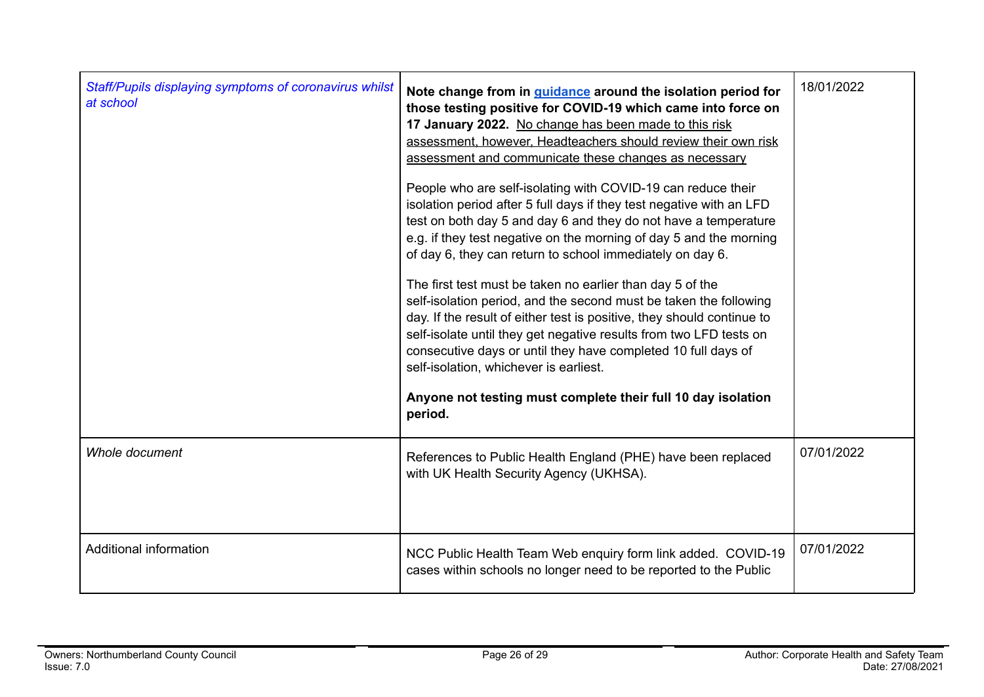| Staff/Pupils displaying symptoms of coronavirus whilst<br>at school | Note change from in <i>guidance</i> around the isolation period for<br>those testing positive for COVID-19 which came into force on<br>17 January 2022. No change has been made to this risk<br>assessment, however, Headteachers should review their own risk<br>assessment and communicate these changes as necessary<br>People who are self-isolating with COVID-19 can reduce their<br>isolation period after 5 full days if they test negative with an LFD<br>test on both day 5 and day 6 and they do not have a temperature<br>e.g. if they test negative on the morning of day 5 and the morning<br>of day 6, they can return to school immediately on day 6.<br>The first test must be taken no earlier than day 5 of the<br>self-isolation period, and the second must be taken the following<br>day. If the result of either test is positive, they should continue to<br>self-isolate until they get negative results from two LFD tests on<br>consecutive days or until they have completed 10 full days of<br>self-isolation, whichever is earliest.<br>Anyone not testing must complete their full 10 day isolation<br>period. | 18/01/2022 |
|---------------------------------------------------------------------|-----------------------------------------------------------------------------------------------------------------------------------------------------------------------------------------------------------------------------------------------------------------------------------------------------------------------------------------------------------------------------------------------------------------------------------------------------------------------------------------------------------------------------------------------------------------------------------------------------------------------------------------------------------------------------------------------------------------------------------------------------------------------------------------------------------------------------------------------------------------------------------------------------------------------------------------------------------------------------------------------------------------------------------------------------------------------------------------------------------------------------------------------|------------|
| Whole document                                                      | References to Public Health England (PHE) have been replaced<br>with UK Health Security Agency (UKHSA).                                                                                                                                                                                                                                                                                                                                                                                                                                                                                                                                                                                                                                                                                                                                                                                                                                                                                                                                                                                                                                       | 07/01/2022 |
| Additional information                                              | NCC Public Health Team Web enquiry form link added. COVID-19<br>cases within schools no longer need to be reported to the Public                                                                                                                                                                                                                                                                                                                                                                                                                                                                                                                                                                                                                                                                                                                                                                                                                                                                                                                                                                                                              | 07/01/2022 |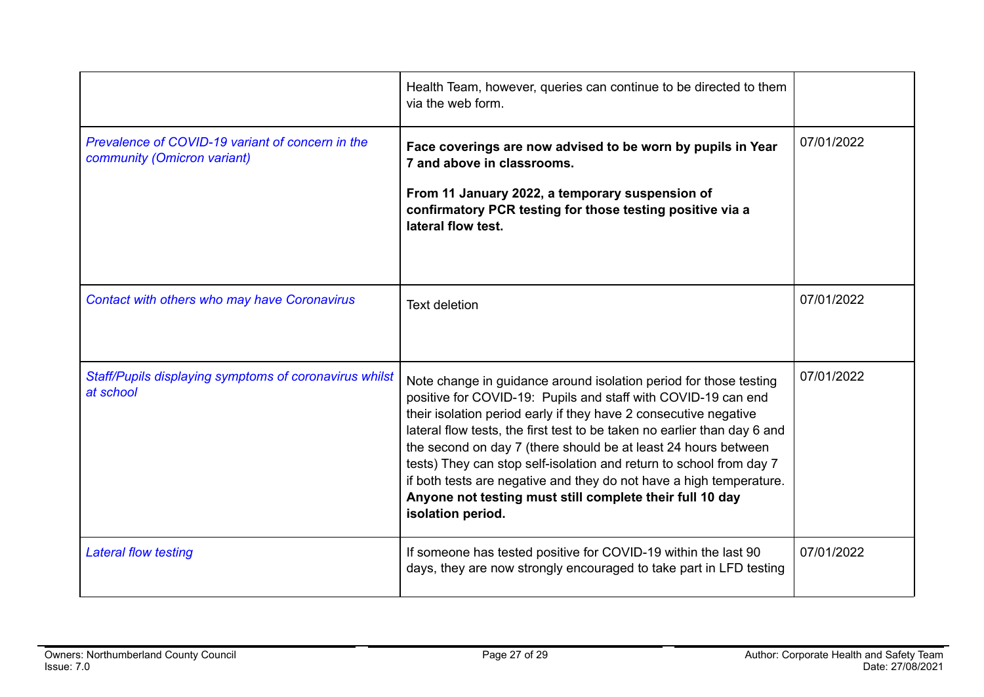|                                                                                 | Health Team, however, queries can continue to be directed to them<br>via the web form.                                                                                                                                                                                                                                                                                                                                                                                                                                                                                              |            |
|---------------------------------------------------------------------------------|-------------------------------------------------------------------------------------------------------------------------------------------------------------------------------------------------------------------------------------------------------------------------------------------------------------------------------------------------------------------------------------------------------------------------------------------------------------------------------------------------------------------------------------------------------------------------------------|------------|
| Prevalence of COVID-19 variant of concern in the<br>community (Omicron variant) | Face coverings are now advised to be worn by pupils in Year<br>7 and above in classrooms.<br>From 11 January 2022, a temporary suspension of<br>confirmatory PCR testing for those testing positive via a<br>lateral flow test.                                                                                                                                                                                                                                                                                                                                                     | 07/01/2022 |
| Contact with others who may have Coronavirus                                    | <b>Text deletion</b>                                                                                                                                                                                                                                                                                                                                                                                                                                                                                                                                                                | 07/01/2022 |
| Staff/Pupils displaying symptoms of coronavirus whilst<br>at school             | Note change in guidance around isolation period for those testing<br>positive for COVID-19: Pupils and staff with COVID-19 can end<br>their isolation period early if they have 2 consecutive negative<br>lateral flow tests, the first test to be taken no earlier than day 6 and<br>the second on day 7 (there should be at least 24 hours between<br>tests) They can stop self-isolation and return to school from day 7<br>if both tests are negative and they do not have a high temperature.<br>Anyone not testing must still complete their full 10 day<br>isolation period. | 07/01/2022 |
| <b>Lateral flow testing</b>                                                     | If someone has tested positive for COVID-19 within the last 90<br>days, they are now strongly encouraged to take part in LFD testing                                                                                                                                                                                                                                                                                                                                                                                                                                                | 07/01/2022 |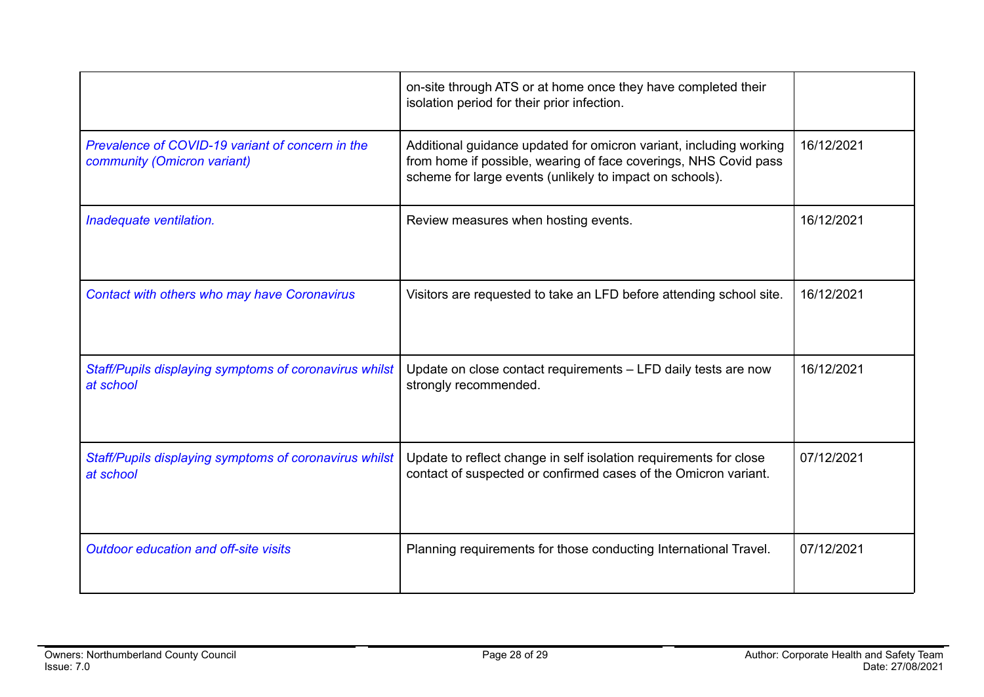|                                                                                 | on-site through ATS or at home once they have completed their<br>isolation period for their prior infection.                                                                                       |            |
|---------------------------------------------------------------------------------|----------------------------------------------------------------------------------------------------------------------------------------------------------------------------------------------------|------------|
| Prevalence of COVID-19 variant of concern in the<br>community (Omicron variant) | Additional guidance updated for omicron variant, including working<br>from home if possible, wearing of face coverings, NHS Covid pass<br>scheme for large events (unlikely to impact on schools). | 16/12/2021 |
| Inadequate ventilation.                                                         | Review measures when hosting events.                                                                                                                                                               | 16/12/2021 |
| Contact with others who may have Coronavirus                                    | Visitors are requested to take an LFD before attending school site.                                                                                                                                | 16/12/2021 |
| Staff/Pupils displaying symptoms of coronavirus whilst<br>at school             | Update on close contact requirements - LFD daily tests are now<br>strongly recommended.                                                                                                            | 16/12/2021 |
| Staff/Pupils displaying symptoms of coronavirus whilst<br>at school             | Update to reflect change in self isolation requirements for close<br>contact of suspected or confirmed cases of the Omicron variant.                                                               | 07/12/2021 |
| <b>Outdoor education and off-site visits</b>                                    | Planning requirements for those conducting International Travel.                                                                                                                                   | 07/12/2021 |